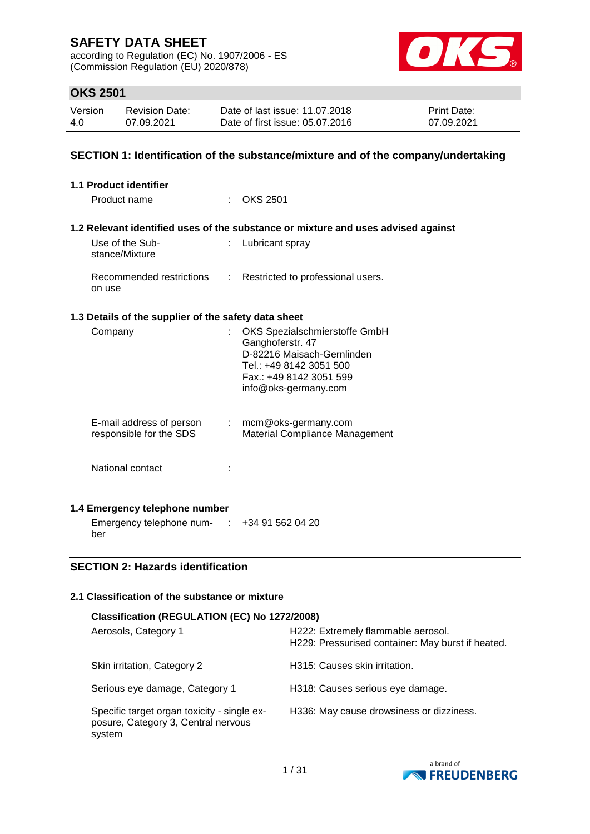according to Regulation (EC) No. 1907/2006 - ES (Commission Regulation (EU) 2020/878)



## **OKS 2501**

| Version | <b>Revision Date:</b> | Date of last issue: 11.07.2018  | <b>Print Date:</b> |
|---------|-----------------------|---------------------------------|--------------------|
| 4.0     | 07.09.2021            | Date of first issue: 05.07.2016 | 07.09.2021         |

### **SECTION 1: Identification of the substance/mixture and of the company/undertaking**

| <b>1.1 Product identifier</b>                        |    |                                                                                                                                                               |
|------------------------------------------------------|----|---------------------------------------------------------------------------------------------------------------------------------------------------------------|
| Product name                                         |    | <b>OKS 2501</b>                                                                                                                                               |
|                                                      |    | 1.2 Relevant identified uses of the substance or mixture and uses advised against                                                                             |
| Use of the Sub-<br>stance/Mixture                    |    | Lubricant spray                                                                                                                                               |
| Recommended restrictions<br>on use                   |    | : Restricted to professional users.                                                                                                                           |
| 1.3 Details of the supplier of the safety data sheet |    |                                                                                                                                                               |
| Company                                              | t. | OKS Spezialschmierstoffe GmbH<br>Ganghoferstr. 47<br>D-82216 Maisach-Gernlinden<br>Tel.: +49 8142 3051 500<br>Fax.: +49 8142 3051 599<br>info@oks-germany.com |
| E-mail address of person<br>responsible for the SDS  |    | $:$ mcm@oks-germany.com<br><b>Material Compliance Management</b>                                                                                              |
| National contact                                     |    |                                                                                                                                                               |
| 1.4 Emergency telephone number                       |    |                                                                                                                                                               |

Emergency telephone num- : +34 91 562 04 20 ber

### **SECTION 2: Hazards identification**

### **2.1 Classification of the substance or mixture**

|                                                                                              | Classification (REGULATION (EC) No 1272/2008)                                           |  |  |  |  |
|----------------------------------------------------------------------------------------------|-----------------------------------------------------------------------------------------|--|--|--|--|
| Aerosols, Category 1                                                                         | H222: Extremely flammable aerosol.<br>H229: Pressurised container: May burst if heated. |  |  |  |  |
| Skin irritation, Category 2                                                                  | H315: Causes skin irritation.                                                           |  |  |  |  |
| Serious eye damage, Category 1                                                               | H318: Causes serious eye damage.                                                        |  |  |  |  |
| Specific target organ toxicity - single ex-<br>posure, Category 3, Central nervous<br>system | H336: May cause drowsiness or dizziness.                                                |  |  |  |  |

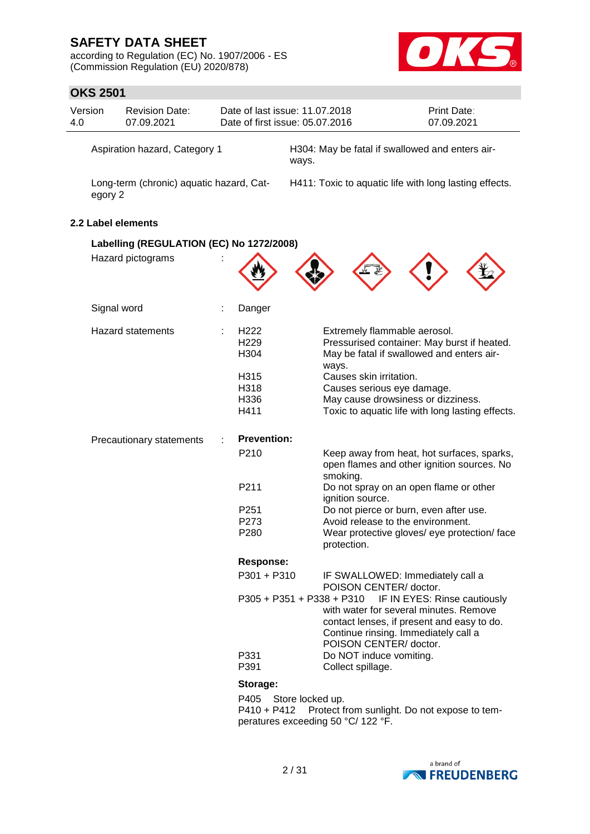according to Regulation (EC) No. 1907/2006 - ES (Commission Regulation (EU) 2020/878)



| 4.0                                      | ו טנ∡ בטו<br>Version          | <b>Revision Date:</b><br>07.09.2021      |  | Date of last issue: 11.07.2018<br>Date of first issue: 05.07.2016 |                  |       |                         | <b>Print Date:</b><br>07.09.2021                                                                                                                                                      |
|------------------------------------------|-------------------------------|------------------------------------------|--|-------------------------------------------------------------------|------------------|-------|-------------------------|---------------------------------------------------------------------------------------------------------------------------------------------------------------------------------------|
|                                          | Aspiration hazard, Category 1 |                                          |  | H304: May be fatal if swallowed and enters air-<br>ways.          |                  |       |                         |                                                                                                                                                                                       |
|                                          | egory 2                       | Long-term (chronic) aquatic hazard, Cat- |  |                                                                   |                  |       |                         | H411: Toxic to aquatic life with long lasting effects.                                                                                                                                |
|                                          |                               | 2.2 Label elements                       |  |                                                                   |                  |       |                         |                                                                                                                                                                                       |
| Labelling (REGULATION (EC) No 1272/2008) |                               |                                          |  |                                                                   |                  |       |                         |                                                                                                                                                                                       |
|                                          |                               | Hazard pictograms                        |  |                                                                   |                  |       |                         |                                                                                                                                                                                       |
|                                          | Signal word                   |                                          |  | Danger                                                            |                  |       |                         |                                                                                                                                                                                       |
|                                          |                               | <b>Hazard statements</b>                 |  | H <sub>222</sub><br>H <sub>229</sub><br>H304                      |                  | ways. |                         | Extremely flammable aerosol.<br>Pressurised container: May burst if heated.<br>May be fatal if swallowed and enters air-                                                              |
|                                          |                               |                                          |  | H315<br>H318<br>H336<br>H411                                      |                  |       | Causes skin irritation. | Causes serious eye damage.<br>May cause drowsiness or dizziness.<br>Toxic to aquatic life with long lasting effects.                                                                  |
|                                          |                               | Precautionary statements                 |  | <b>Prevention:</b>                                                |                  |       |                         |                                                                                                                                                                                       |
|                                          |                               |                                          |  | P210                                                              |                  |       | smoking.                | Keep away from heat, hot surfaces, sparks,<br>open flames and other ignition sources. No                                                                                              |
|                                          |                               |                                          |  | P211                                                              |                  |       | ignition source.        | Do not spray on an open flame or other                                                                                                                                                |
|                                          |                               |                                          |  | P <sub>251</sub>                                                  |                  |       |                         | Do not pierce or burn, even after use.                                                                                                                                                |
|                                          |                               |                                          |  | P273<br>P280                                                      |                  |       | protection.             | Avoid release to the environment.<br>Wear protective gloves/ eye protection/ face                                                                                                     |
|                                          |                               |                                          |  | <b>Response:</b>                                                  |                  |       |                         |                                                                                                                                                                                       |
|                                          |                               |                                          |  | P301 + P310                                                       |                  |       |                         | IF SWALLOWED: Immediately call a<br>POISON CENTER/ doctor.                                                                                                                            |
|                                          |                               |                                          |  | P305 + P351 + P338 + P310                                         |                  |       |                         | IF IN EYES: Rinse cautiously<br>with water for several minutes. Remove<br>contact lenses, if present and easy to do.<br>Continue rinsing. Immediately call a<br>POISON CENTER/doctor. |
|                                          |                               |                                          |  | P331<br>P391                                                      |                  |       | Collect spillage.       | Do NOT induce vomiting.                                                                                                                                                               |
|                                          |                               |                                          |  | Storage:                                                          |                  |       |                         |                                                                                                                                                                                       |
|                                          |                               |                                          |  | P405<br>P410 + P412<br>peratures exceeding 50 °C/ 122 °F.         | Store locked up. |       |                         | Protect from sunlight. Do not expose to tem-                                                                                                                                          |

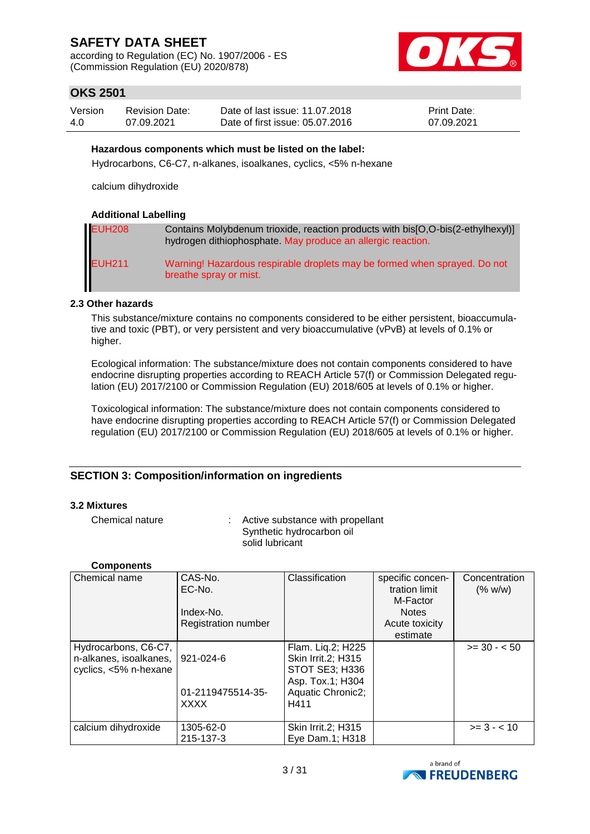according to Regulation (EC) No. 1907/2006 - ES (Commission Regulation (EU) 2020/878)



## **OKS 2501**

| Version | <b>Revision Date:</b> | Date of last issue: 11.07.2018  | <b>Print Date:</b> |
|---------|-----------------------|---------------------------------|--------------------|
| 4.0     | 07.09.2021            | Date of first issue: 05.07.2016 | 07.09.2021         |

#### **Hazardous components which must be listed on the label:**

Hydrocarbons, C6-C7, n-alkanes, isoalkanes, cyclics, <5% n-hexane

calcium dihydroxide

#### **Additional Labelling**

| <b>EUH208</b> | Contains Molybdenum trioxide, reaction products with bis[O,O-bis(2-ethylhexyl)]<br>hydrogen dithiophosphate. May produce an allergic reaction. |
|---------------|------------------------------------------------------------------------------------------------------------------------------------------------|
| <b>EUH211</b> | Warning! Hazardous respirable droplets may be formed when sprayed. Do not<br>breathe spray or mist.                                            |

#### **2.3 Other hazards**

This substance/mixture contains no components considered to be either persistent, bioaccumulative and toxic (PBT), or very persistent and very bioaccumulative (vPvB) at levels of 0.1% or higher.

Ecological information: The substance/mixture does not contain components considered to have endocrine disrupting properties according to REACH Article 57(f) or Commission Delegated regulation (EU) 2017/2100 or Commission Regulation (EU) 2018/605 at levels of 0.1% or higher.

Toxicological information: The substance/mixture does not contain components considered to have endocrine disrupting properties according to REACH Article 57(f) or Commission Delegated regulation (EU) 2017/2100 or Commission Regulation (EU) 2018/605 at levels of 0.1% or higher.

### **SECTION 3: Composition/information on ingredients**

#### **3.2 Mixtures**

Chemical nature : Active substance with propellant Synthetic hydrocarbon oil solid lubricant

#### **Components**

| Chemical name                                                           | CAS-No.<br>EC-No.                             | Classification                                                                                                    | specific concen-<br>tration limit | Concentration<br>(% w/w) |
|-------------------------------------------------------------------------|-----------------------------------------------|-------------------------------------------------------------------------------------------------------------------|-----------------------------------|--------------------------|
|                                                                         |                                               |                                                                                                                   | M-Factor                          |                          |
|                                                                         | Index-No.                                     |                                                                                                                   | <b>Notes</b>                      |                          |
|                                                                         | <b>Registration number</b>                    |                                                                                                                   | Acute toxicity                    |                          |
|                                                                         |                                               |                                                                                                                   | estimate                          |                          |
| Hydrocarbons, C6-C7,<br>n-alkanes, isoalkanes,<br>cyclics, <5% n-hexane | 921-024-6<br>01-2119475514-35-<br><b>XXXX</b> | Flam. Lig.2; H225<br>Skin Irrit.2; H315<br><b>STOT SE3; H336</b><br>Asp. Tox.1; H304<br>Aquatic Chronic2;<br>H411 |                                   | $>= 30 - 50$             |
| calcium dihydroxide                                                     | 1305-62-0<br>215-137-3                        | Skin Irrit.2; H315<br>Eye Dam.1; H318                                                                             |                                   | $>= 3 - < 10$            |

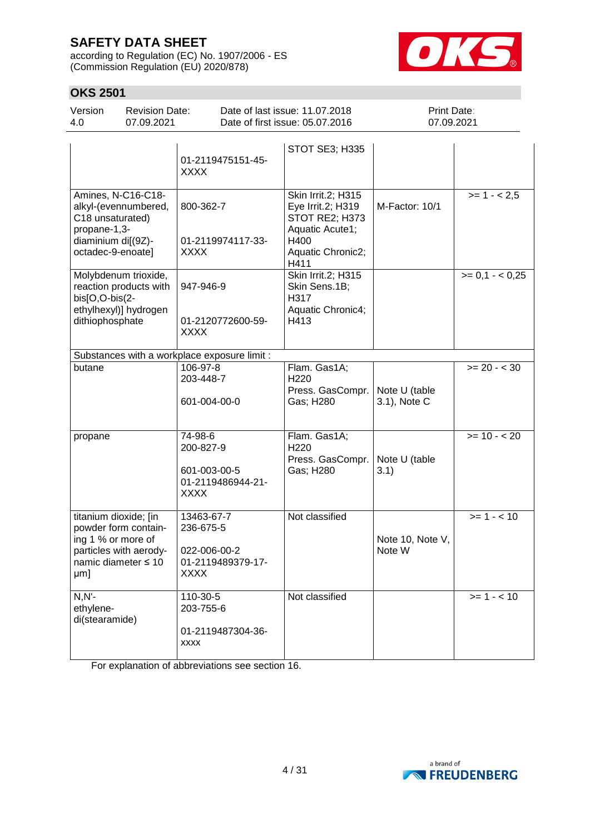according to Regulation (EC) No. 1907/2006 - ES (Commission Regulation (EU) 2020/878)



## **OKS 2501**

| Version<br>4.0                                                               | <b>Revision Date:</b><br>07.09.2021                                     |                                                                             | Date of last issue: 11.07.2018<br>Date of first issue: 05.07.2016                                                 | Print Date:<br>07.09.2021     |                 |
|------------------------------------------------------------------------------|-------------------------------------------------------------------------|-----------------------------------------------------------------------------|-------------------------------------------------------------------------------------------------------------------|-------------------------------|-----------------|
|                                                                              |                                                                         | 01-2119475151-45-<br><b>XXXX</b>                                            | STOT SE3; H335                                                                                                    |                               |                 |
| C18 unsaturated)<br>propane-1,3-<br>diaminium di[(9Z)-<br>octadec-9-enoate]  | Amines, N-C16-C18-<br>alkyl-(evennumbered,                              | 800-362-7<br>01-2119974117-33-<br><b>XXXX</b>                               | Skin Irrit.2; H315<br>Eye Irrit.2; H319<br>STOT RE2; H373<br>Aquatic Acute1;<br>H400<br>Aquatic Chronic2;<br>H411 | M-Factor: 10/1                | $>= 1 - 2.5$    |
| bis[O,O-bis(2-<br>dithiophosphate                                            | Molybdenum trioxide,<br>reaction products with<br>ethylhexyl)] hydrogen | 947-946-9<br>01-2120772600-59-<br><b>XXXX</b>                               | Skin Irrit.2; H315<br>Skin Sens.1B;<br>H317<br>Aquatic Chronic4;<br>H413                                          |                               | $>= 0.1 - 0.25$ |
|                                                                              |                                                                         | Substances with a workplace exposure limit :                                |                                                                                                                   |                               |                 |
| butane                                                                       |                                                                         | 106-97-8<br>203-448-7<br>601-004-00-0                                       | Flam. Gas1A;<br>H <sub>220</sub><br>Press. GasCompr.<br>Gas; H280                                                 | Note U (table<br>3.1), Note C | $>= 20 - < 30$  |
| propane                                                                      |                                                                         | 74-98-6<br>200-827-9<br>601-003-00-5<br>01-2119486944-21-<br><b>XXXX</b>    | Flam. Gas1A;<br>H <sub>220</sub><br>Press. GasCompr.<br>Gas; H280                                                 | Note U (table<br>3.1)         | $>= 10 - 20$    |
| titanium dioxide; [in<br>ing 1 % or more of<br>namic diameter ≤ 10<br>$µm$ ] | powder form contain-<br>particles with aerody-                          | 13463-67-7<br>236-675-5<br>022-006-00-2<br>01-2119489379-17-<br><b>XXXX</b> | Not classified                                                                                                    | Note 10, Note V,<br>Note W    | $>= 1 - 10$     |
| $N, N'$ -<br>ethylene-<br>di(stearamide)                                     |                                                                         | 110-30-5<br>203-755-6<br>01-2119487304-36-<br><b>XXXX</b>                   | Not classified                                                                                                    |                               | $>= 1 - 10$     |

For explanation of abbreviations see section 16.

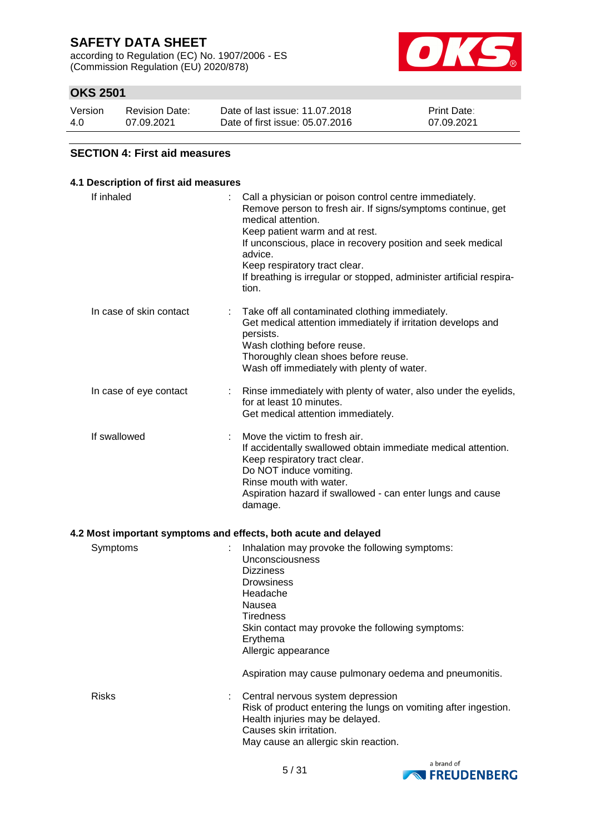according to Regulation (EC) No. 1907/2006 - ES (Commission Regulation (EU) 2020/878)



## **OKS 2501**

| Version | <b>Revision Date:</b> | Date of last issue: 11.07.2018  | <b>Print Date:</b> |
|---------|-----------------------|---------------------------------|--------------------|
| 4.0     | 07.09.2021            | Date of first issue: 05.07.2016 | 07.09.2021         |

#### **SECTION 4: First aid measures**

### **4.1 Description of first aid measures** If inhaled  $\blacksquare$  : Call a physician or poison control centre immediately. Remove person to fresh air. If signs/symptoms continue, get medical attention. Keep patient warm and at rest. If unconscious, place in recovery position and seek medical advice. Keep respiratory tract clear. If breathing is irregular or stopped, administer artificial respiration. In case of skin contact : Take off all contaminated clothing immediately. Get medical attention immediately if irritation develops and persists. Wash clothing before reuse. Thoroughly clean shoes before reuse. Wash off immediately with plenty of water. In case of eye contact : Rinse immediately with plenty of water, also under the eyelids, for at least 10 minutes. Get medical attention immediately. If swallowed : Move the victim to fresh air. If accidentally swallowed obtain immediate medical attention. Keep respiratory tract clear. Do NOT induce vomiting. Rinse mouth with water. Aspiration hazard if swallowed - can enter lungs and cause damage. **4.2 Most important symptoms and effects, both acute and delayed** Symptoms : Inhalation may provoke the following symptoms: Unconsciousness **Dizziness Drowsiness** Headache Nausea **Tiredness** Skin contact may provoke the following symptoms: Erythema Allergic appearance Aspiration may cause pulmonary oedema and pneumonitis.

Risks : Central nervous system depression Risk of product entering the lungs on vomiting after ingestion. Health injuries may be delayed. Causes skin irritation. May cause an allergic skin reaction.

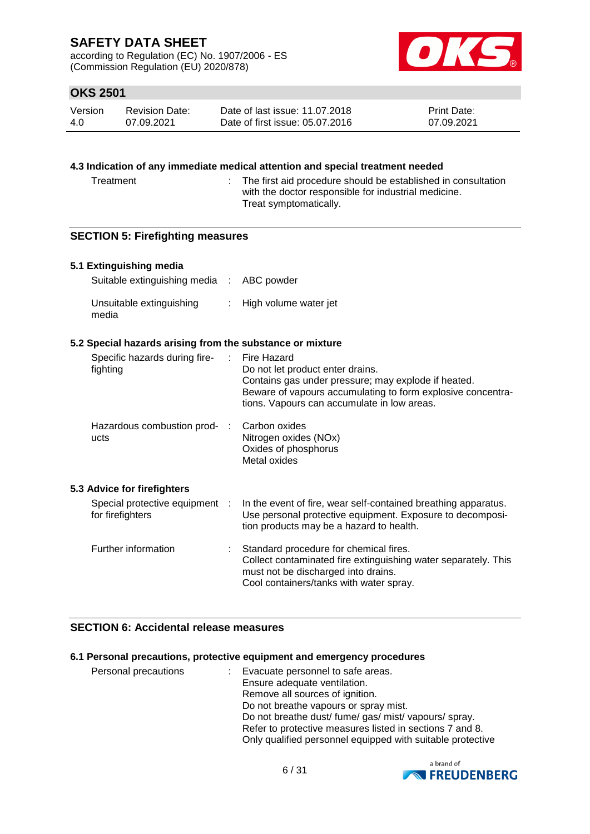according to Regulation (EC) No. 1907/2006 - ES (Commission Regulation (EU) 2020/878)



## **OKS 2501**

| Version | Revision Date: | Date of last issue: 11.07.2018  | <b>Print Date:</b> |
|---------|----------------|---------------------------------|--------------------|
| 4.0     | 07.09.2021     | Date of first issue: 05.07.2016 | 07.09.2021         |

#### **4.3 Indication of any immediate medical attention and special treatment needed**

Treatment : The first aid procedure should be established in consultation with the doctor responsible for industrial medicine. Treat symptomatically.

### **SECTION 5: Firefighting measures**

### **5.1 Extinguishing media**

| Suitable extinguishing media : ABC powder |                         |
|-------------------------------------------|-------------------------|
| Unsuitable extinguishing<br>media         | : High volume water jet |

#### **5.2 Special hazards arising from the substance or mixture**

| Specific hazards during fire-<br>fighting          | -100 | Fire Hazard<br>Do not let product enter drains.<br>Contains gas under pressure; may explode if heated.<br>Beware of vapours accumulating to form explosive concentra-<br>tions. Vapours can accumulate in low areas. |
|----------------------------------------------------|------|----------------------------------------------------------------------------------------------------------------------------------------------------------------------------------------------------------------------|
| Hazardous combustion prod- :<br>ucts               |      | Carbon oxides<br>Nitrogen oxides (NOx)<br>Oxides of phosphorus<br>Metal oxides                                                                                                                                       |
| 5.3 Advice for firefighters                        |      |                                                                                                                                                                                                                      |
| Special protective equipment :<br>for firefighters |      | In the event of fire, wear self-contained breathing apparatus.<br>Use personal protective equipment. Exposure to decomposi-<br>tion products may be a hazard to health.                                              |
| Further information                                |      | Standard procedure for chemical fires.<br>Collect contaminated fire extinguishing water separately. This<br>must not be discharged into drains.<br>Cool containers/tanks with water spray.                           |

## **SECTION 6: Accidental release measures**

#### **6.1 Personal precautions, protective equipment and emergency procedures**

| Personal precautions | : Evacuate personnel to safe areas.                        |
|----------------------|------------------------------------------------------------|
|                      | Ensure adequate ventilation.                               |
|                      | Remove all sources of ignition.                            |
|                      | Do not breathe vapours or spray mist.                      |
|                      | Do not breathe dust/ fume/ gas/ mist/ vapours/ spray.      |
|                      | Refer to protective measures listed in sections 7 and 8.   |
|                      | Only qualified personnel equipped with suitable protective |

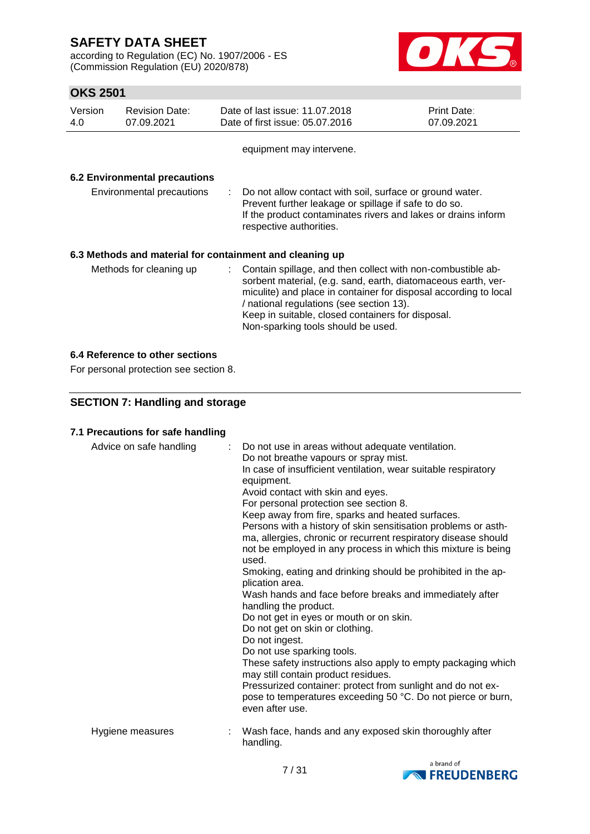according to Regulation (EC) No. 1907/2006 - ES (Commission Regulation (EU) 2020/878)



## **OKS 2501**

| Version<br>4.0 | <b>Revision Date:</b><br>07.09.2021  |    | Date of last issue: 11.07.2018<br>Date of first issue: 05.07.2016                                                                                                                                                                                                                                                                       | Print Date:<br>07.09.2021 |
|----------------|--------------------------------------|----|-----------------------------------------------------------------------------------------------------------------------------------------------------------------------------------------------------------------------------------------------------------------------------------------------------------------------------------------|---------------------------|
|                |                                      |    | equipment may intervene.                                                                                                                                                                                                                                                                                                                |                           |
|                | <b>6.2 Environmental precautions</b> |    |                                                                                                                                                                                                                                                                                                                                         |                           |
|                | Environmental precautions            | ÷. | Do not allow contact with soil, surface or ground water.<br>Prevent further leakage or spillage if safe to do so.<br>If the product contaminates rivers and lakes or drains inform<br>respective authorities.                                                                                                                           |                           |
|                |                                      |    | 6.3 Methods and material for containment and cleaning up                                                                                                                                                                                                                                                                                |                           |
|                | Methods for cleaning up              |    | Contain spillage, and then collect with non-combustible ab-<br>sorbent material, (e.g. sand, earth, diatomaceous earth, ver-<br>miculite) and place in container for disposal according to local<br>/ national regulations (see section 13).<br>Keep in suitable, closed containers for disposal.<br>Non-sparking tools should be used. |                           |

## **6.4 Reference to other sections**

For personal protection see section 8.

## **SECTION 7: Handling and storage**

### **7.1 Precautions for safe handling**

| Advice on safe handling | $\mathbb{R}^n$ | Do not use in areas without adequate ventilation.<br>Do not breathe vapours or spray mist.<br>In case of insufficient ventilation, wear suitable respiratory<br>equipment.<br>Avoid contact with skin and eyes.<br>For personal protection see section 8.<br>Keep away from fire, sparks and heated surfaces.<br>Persons with a history of skin sensitisation problems or asth-<br>ma, allergies, chronic or recurrent respiratory disease should<br>not be employed in any process in which this mixture is being<br>used.<br>Smoking, eating and drinking should be prohibited in the ap-<br>plication area.<br>Wash hands and face before breaks and immediately after<br>handling the product.<br>Do not get in eyes or mouth or on skin.<br>Do not get on skin or clothing.<br>Do not ingest.<br>Do not use sparking tools.<br>These safety instructions also apply to empty packaging which<br>may still contain product residues.<br>Pressurized container: protect from sunlight and do not ex-<br>pose to temperatures exceeding 50 °C. Do not pierce or burn,<br>even after use. |
|-------------------------|----------------|--------------------------------------------------------------------------------------------------------------------------------------------------------------------------------------------------------------------------------------------------------------------------------------------------------------------------------------------------------------------------------------------------------------------------------------------------------------------------------------------------------------------------------------------------------------------------------------------------------------------------------------------------------------------------------------------------------------------------------------------------------------------------------------------------------------------------------------------------------------------------------------------------------------------------------------------------------------------------------------------------------------------------------------------------------------------------------------------|
| Hygiene measures        |                | Wash face, hands and any exposed skin thoroughly after<br>handling.                                                                                                                                                                                                                                                                                                                                                                                                                                                                                                                                                                                                                                                                                                                                                                                                                                                                                                                                                                                                                        |

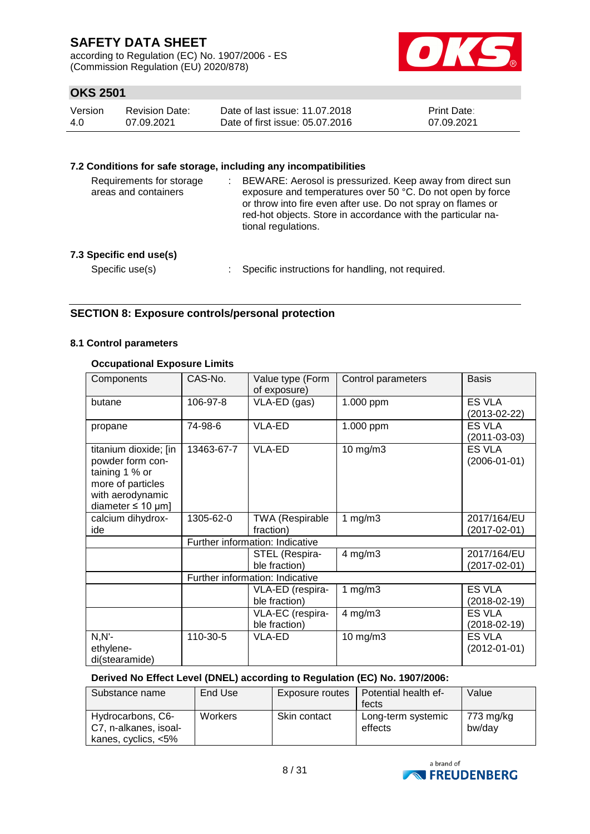according to Regulation (EC) No. 1907/2006 - ES (Commission Regulation (EU) 2020/878)



## **OKS 2501**

| Version | <b>Revision Date:</b> | Date of last issue: 11.07.2018  | <b>Print Date:</b> |
|---------|-----------------------|---------------------------------|--------------------|
| 4.0     | 07.09.2021            | Date of first issue: 05.07.2016 | 07.09.2021         |

#### **7.2 Conditions for safe storage, including any incompatibilities**

| Requirements for storage<br>areas and containers | BEWARE: Aerosol is pressurized. Keep away from direct sun<br>exposure and temperatures over 50 °C. Do not open by force<br>or throw into fire even after use. Do not spray on flames or<br>red-hot objects. Store in accordance with the particular na-<br>tional regulations. |
|--------------------------------------------------|--------------------------------------------------------------------------------------------------------------------------------------------------------------------------------------------------------------------------------------------------------------------------------|
| 7.3 Specific end use(s)                          |                                                                                                                                                                                                                                                                                |
| Specific use(s)                                  | Specific instructions for handling, not required.                                                                                                                                                                                                                              |

## **SECTION 8: Exposure controls/personal protection**

### **8.1 Control parameters**

### **Occupational Exposure Limits**

| Components                                                                                                                     | CAS-No.                         | Value type (Form<br>of exposure)    | Control parameters | <b>Basis</b>                        |
|--------------------------------------------------------------------------------------------------------------------------------|---------------------------------|-------------------------------------|--------------------|-------------------------------------|
| butane                                                                                                                         | 106-97-8                        | VLA-ED (gas)                        | 1.000 ppm          | ES VLA<br>$(2013 - 02 - 22)$        |
| propane                                                                                                                        | 74-98-6                         | VLA-ED                              | 1.000 ppm          | <b>ES VLA</b><br>$(2011 - 03 - 03)$ |
| titanium dioxide; [in<br>powder form con-<br>taining 1 % or<br>more of particles<br>with aerodynamic<br>diameter $\leq 10$ µm] | 13463-67-7                      | VLA-ED                              | 10 mg/m3           | <b>ES VLA</b><br>$(2006 - 01 - 01)$ |
| calcium dihydrox-<br>ide                                                                                                       | 1305-62-0                       | <b>TWA (Respirable</b><br>fraction) | 1 $mg/m3$          | 2017/164/EU<br>$(2017 - 02 - 01)$   |
|                                                                                                                                | Further information: Indicative |                                     |                    |                                     |
|                                                                                                                                |                                 | STEL (Respira-<br>ble fraction)     | $4$ mg/m $3$       | 2017/164/EU<br>$(2017 - 02 - 01)$   |
|                                                                                                                                |                                 | Further information: Indicative     |                    |                                     |
|                                                                                                                                |                                 | VLA-ED (respira-<br>ble fraction)   | 1 $mg/m3$          | <b>ES VLA</b><br>$(2018-02-19)$     |
|                                                                                                                                |                                 | VLA-EC (respira-<br>ble fraction)   | $4$ mg/m $3$       | <b>ES VLA</b><br>$(2018 - 02 - 19)$ |
| $N, N'$ -<br>ethylene-<br>di(stearamide)                                                                                       | 110-30-5                        | VLA-ED                              | $10$ mg/m $3$      | <b>ES VLA</b><br>$(2012 - 01 - 01)$ |

#### **Derived No Effect Level (DNEL) according to Regulation (EC) No. 1907/2006:**

| Substance name                                                    | End Use        | Exposure routes | Potential health ef-          | Value               |
|-------------------------------------------------------------------|----------------|-----------------|-------------------------------|---------------------|
|                                                                   |                |                 | fects                         |                     |
| Hydrocarbons, C6-<br>C7, n-alkanes, isoal-<br>kanes, cyclics, <5% | <b>Workers</b> | Skin contact    | Long-term systemic<br>effects | 773 mg/kg<br>bw/day |

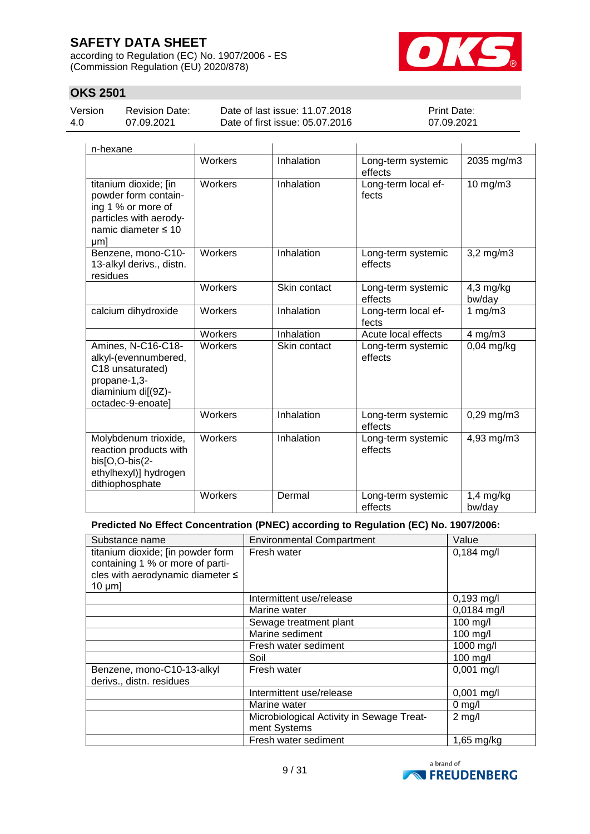according to Regulation (EC) No. 1907/2006 - ES (Commission Regulation (EU) 2020/878)



## **OKS 2501**

| Version |  |
|---------|--|
| 4.0     |  |

Revision Date: 07.09.2021

Date of last issue: 11.07.2018 Date of first issue: 05.07.2016 Print Date: 07.09.2021

| n-hexane                                                                                                                    |                |              |                               |                       |
|-----------------------------------------------------------------------------------------------------------------------------|----------------|--------------|-------------------------------|-----------------------|
|                                                                                                                             | <b>Workers</b> | Inhalation   | Long-term systemic<br>effects | 2035 mg/m3            |
| titanium dioxide; [in<br>powder form contain-<br>ing 1 % or more of<br>particles with aerody-<br>namic diameter ≤ 10<br>µm] | Workers        | Inhalation   | Long-term local ef-<br>fects  | 10 mg/m3              |
| Benzene, mono-C10-<br>13-alkyl derivs., distn.<br>residues                                                                  | Workers        | Inhalation   | Long-term systemic<br>effects | $3,2$ mg/m $3$        |
|                                                                                                                             | <b>Workers</b> | Skin contact | Long-term systemic<br>effects | 4,3 mg/kg<br>bw/day   |
| calcium dihydroxide                                                                                                         | Workers        | Inhalation   | Long-term local ef-<br>fects  | 1 mg/m $\overline{3}$ |
|                                                                                                                             | Workers        | Inhalation   | Acute local effects           | $4$ mg/m $3$          |
| Amines, N-C16-C18-<br>alkyl-(evennumbered,<br>C18 unsaturated)<br>propane-1,3-<br>diaminium di[(9Z)-<br>octadec-9-enoate]   | Workers        | Skin contact | Long-term systemic<br>effects | $0.04$ mg/kg          |
|                                                                                                                             | <b>Workers</b> | Inhalation   | Long-term systemic<br>effects | $0,29$ mg/m $3$       |
| Molybdenum trioxide,<br>reaction products with<br>bis[O,O-bis(2-<br>ethylhexyl)] hydrogen<br>dithiophosphate                | Workers        | Inhalation   | Long-term systemic<br>effects | 4,93 mg/m3            |
|                                                                                                                             | Workers        | Dermal       | Long-term systemic<br>effects | $1,4$ mg/kg<br>bw/day |

#### **Predicted No Effect Concentration (PNEC) according to Regulation (EC) No. 1907/2006:**

| Substance name                                                                                                            | <b>Environmental Compartment</b>                          | Value         |
|---------------------------------------------------------------------------------------------------------------------------|-----------------------------------------------------------|---------------|
| titanium dioxide; [in powder form<br>containing 1 % or more of parti-<br>cles with aerodynamic diameter ≤<br>$10 \mu m$ ] | Fresh water                                               | $0,184$ mg/l  |
|                                                                                                                           | Intermittent use/release                                  | $0,193$ mg/l  |
|                                                                                                                           | Marine water                                              | $0,0184$ mg/l |
|                                                                                                                           | Sewage treatment plant                                    | 100 mg/l      |
|                                                                                                                           | Marine sediment                                           | $100$ mg/l    |
|                                                                                                                           | Fresh water sediment                                      | 1000 mg/l     |
|                                                                                                                           | Soil                                                      | 100 mg/l      |
| Benzene, mono-C10-13-alkyl<br>derivs., distn. residues                                                                    | Fresh water                                               | $0,001$ mg/l  |
|                                                                                                                           | Intermittent use/release                                  | $0,001$ mg/l  |
|                                                                                                                           | Marine water                                              | $0$ mg/l      |
|                                                                                                                           | Microbiological Activity in Sewage Treat-<br>ment Systems | $2$ mg/l      |
|                                                                                                                           | Fresh water sediment                                      | 1,65 mg/kg    |

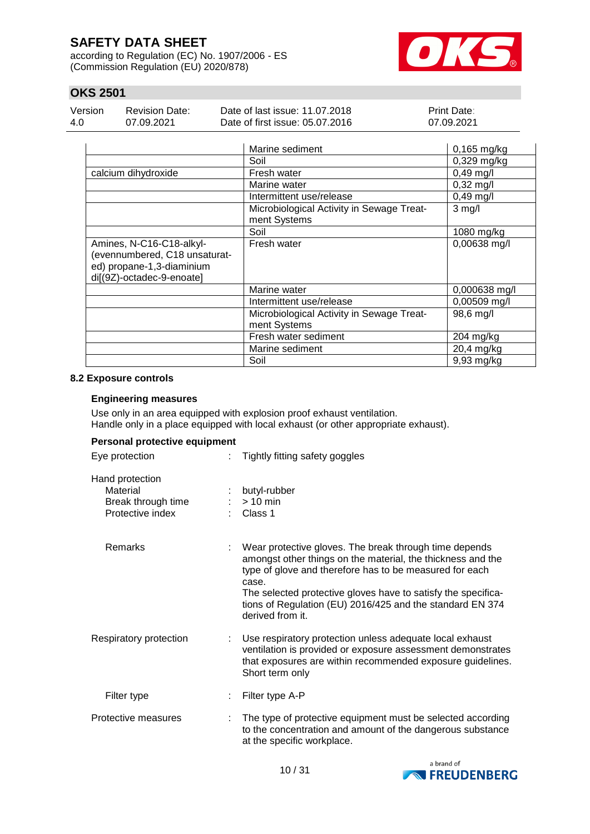according to Regulation (EC) No. 1907/2006 - ES (Commission Regulation (EU) 2020/878)



## **OKS 2501**

| Version | <b>Revision Date:</b> | Date of last issue: 11.07.2018  | <b>Print Date:</b> |
|---------|-----------------------|---------------------------------|--------------------|
| 4.0     | 07.09.2021            | Date of first issue: 05.07.2016 | 07.09.2021         |

|                                                                                                                     | Marine sediment                                           | $0,165$ mg/kg       |
|---------------------------------------------------------------------------------------------------------------------|-----------------------------------------------------------|---------------------|
|                                                                                                                     | Soil                                                      | $0,329$ mg/kg       |
| calcium dihydroxide                                                                                                 | Fresh water                                               | $0,49$ mg/l         |
|                                                                                                                     | Marine water                                              | $0,32 \text{ mg/l}$ |
|                                                                                                                     | Intermittent use/release                                  | $0,49$ mg/l         |
|                                                                                                                     | Microbiological Activity in Sewage Treat-<br>ment Systems | $3$ mg/l            |
|                                                                                                                     | Soil                                                      | 1080 mg/kg          |
| Amines, N-C16-C18-alkyl-<br>(evennumbered, C18 unsaturat-<br>ed) propane-1,3-diaminium<br>di[(9Z)-octadec-9-enoate] | Fresh water                                               | 0,00638 mg/l        |
|                                                                                                                     | Marine water                                              | 0,000638 mg/l       |
|                                                                                                                     | Intermittent use/release                                  | 0,00509 mg/l        |
|                                                                                                                     | Microbiological Activity in Sewage Treat-<br>ment Systems | 98,6 mg/l           |
|                                                                                                                     | Fresh water sediment                                      | 204 mg/kg           |
|                                                                                                                     | Marine sediment                                           | 20,4 mg/kg          |
|                                                                                                                     | Soil                                                      | 9,93 mg/kg          |

#### **8.2 Exposure controls**

#### **Engineering measures**

Use only in an area equipped with explosion proof exhaust ventilation. Handle only in a place equipped with local exhaust (or other appropriate exhaust).

### **Personal protective equipment**

| Eye protection                                                        | Tightly fitting safety goggles                                                                                                                                                                                                                                                                                                              |
|-----------------------------------------------------------------------|---------------------------------------------------------------------------------------------------------------------------------------------------------------------------------------------------------------------------------------------------------------------------------------------------------------------------------------------|
| Hand protection<br>Material<br>Break through time<br>Protective index | butyl-rubber<br>$> 10$ min<br>Class 1                                                                                                                                                                                                                                                                                                       |
| Remarks                                                               | Wear protective gloves. The break through time depends<br>amongst other things on the material, the thickness and the<br>type of glove and therefore has to be measured for each<br>case.<br>The selected protective gloves have to satisfy the specifica-<br>tions of Regulation (EU) 2016/425 and the standard EN 374<br>derived from it. |
| Respiratory protection                                                | Use respiratory protection unless adequate local exhaust<br>ventilation is provided or exposure assessment demonstrates<br>that exposures are within recommended exposure guidelines.<br>Short term only                                                                                                                                    |
| Filter type                                                           | Filter type A-P                                                                                                                                                                                                                                                                                                                             |
| Protective measures                                                   | The type of protective equipment must be selected according<br>to the concentration and amount of the dangerous substance<br>at the specific workplace.                                                                                                                                                                                     |

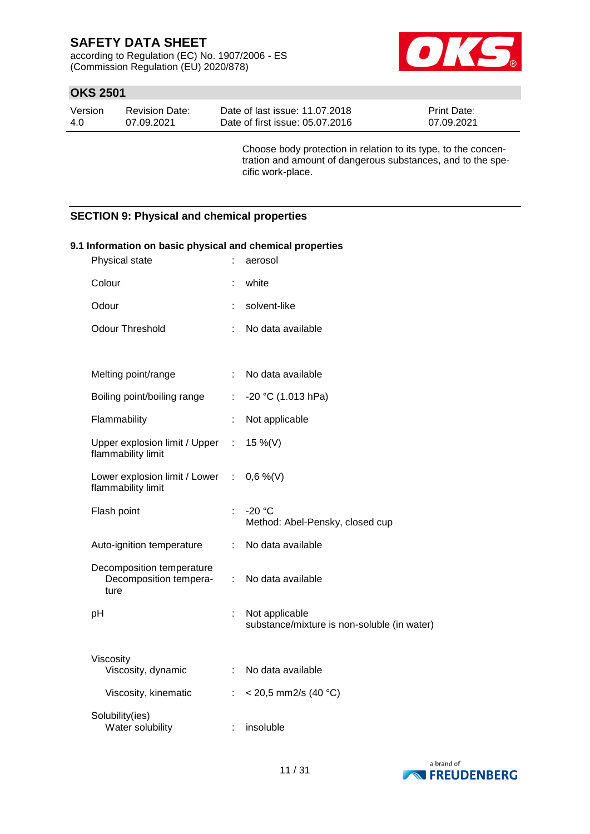according to Regulation (EC) No. 1907/2006 - ES (Commission Regulation (EU) 2020/878)



## **OKS 2501**

| Version | Revision Date: | Date of last issue: 11.07.2018  | <b>Print Date:</b> |
|---------|----------------|---------------------------------|--------------------|
| -4.0    | 07.09.2021     | Date of first issue: 05.07.2016 | 07.09.2021         |

Choose body protection in relation to its type, to the concentration and amount of dangerous substances, and to the specific work-place.

### **SECTION 9: Physical and chemical properties**

### **9.1 Information on basic physical and chemical properties**

| Physical state                                              |           | aerosol                                                       |
|-------------------------------------------------------------|-----------|---------------------------------------------------------------|
| Colour                                                      |           | white                                                         |
| Odour                                                       |           | solvent-like                                                  |
| <b>Odour Threshold</b>                                      | ÷         | No data available                                             |
|                                                             |           |                                                               |
| Melting point/range                                         | ÷.        | No data available                                             |
| Boiling point/boiling range                                 | t.        | $-20$ °C (1.013 hPa)                                          |
| Flammability                                                | ÷         | Not applicable                                                |
| Upper explosion limit / Upper<br>flammability limit         | $\sim 10$ | 15 %(V)                                                       |
| Lower explosion limit / Lower :<br>flammability limit       |           | $0,6\%$ (V)                                                   |
| Flash point                                                 | ł.        | $-20 °C$<br>Method: Abel-Pensky, closed cup                   |
| Auto-ignition temperature                                   | ÷.        | No data available                                             |
| Decomposition temperature<br>Decomposition tempera-<br>ture | ÷.        | No data available                                             |
| pH                                                          | ÷         | Not applicable<br>substance/mixture is non-soluble (in water) |
| Viscosity<br>Viscosity, dynamic                             | ÷.        | No data available                                             |
| Viscosity, kinematic                                        | ÷         | $<$ 20,5 mm2/s (40 °C)                                        |
| Solubility(ies)<br>Water solubility                         | ÷         | insoluble                                                     |

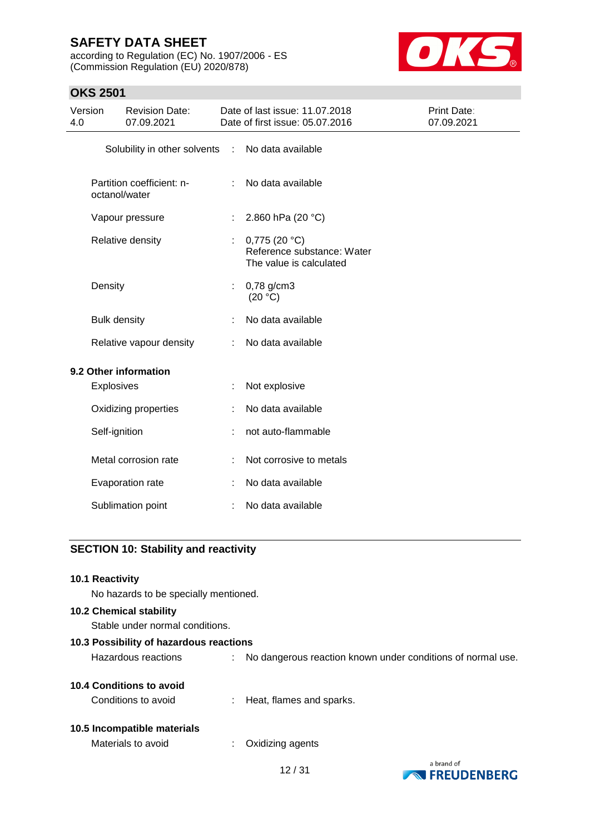according to Regulation (EC) No. 1907/2006 - ES (Commission Regulation (EU) 2020/878)



## **OKS 2501**

| Version<br><b>Revision Date:</b><br>07.09.2021<br>4.0 |                                                                                                 | Date of last issue: 11.07.2018<br>Date of first issue: 05.07.2016 |                       | <b>Print Date:</b><br>07.09.2021 |  |
|-------------------------------------------------------|-------------------------------------------------------------------------------------------------|-------------------------------------------------------------------|-----------------------|----------------------------------|--|
|                                                       |                                                                                                 | Solubility in other solvents                                      | $\sim 10$             | No data available                |  |
|                                                       | Partition coefficient: n-<br>octanol/water                                                      |                                                                   |                       | No data available                |  |
|                                                       |                                                                                                 | Vapour pressure                                                   |                       | 2.860 hPa (20 °C)                |  |
|                                                       | 0,775 (20 °C)<br>Relative density<br>÷<br>Reference substance: Water<br>The value is calculated |                                                                   |                       |                                  |  |
| Density                                               |                                                                                                 | ÷.                                                                | 0,78 g/cm3<br>(20 °C) |                                  |  |
|                                                       | <b>Bulk density</b>                                                                             |                                                                   |                       | No data available                |  |
|                                                       | Relative vapour density                                                                         |                                                                   |                       | No data available                |  |
|                                                       |                                                                                                 | 9.2 Other information                                             |                       |                                  |  |
|                                                       | <b>Explosives</b>                                                                               |                                                                   | ÷                     | Not explosive                    |  |
|                                                       | Oxidizing properties                                                                            |                                                                   | ÷                     | No data available                |  |
|                                                       | Self-ignition                                                                                   |                                                                   |                       | not auto-flammable               |  |
|                                                       | Metal corrosion rate                                                                            |                                                                   |                       | Not corrosive to metals          |  |
|                                                       |                                                                                                 | Evaporation rate                                                  |                       | No data available                |  |
|                                                       |                                                                                                 | Sublimation point                                                 |                       | No data available                |  |
|                                                       |                                                                                                 |                                                                   |                       |                                  |  |

### **SECTION 10: Stability and reactivity**

#### **10.1 Reactivity**

No hazards to be specially mentioned.

#### **10.2 Chemical stability**

Stable under normal conditions.

#### **10.3 Possibility of hazardous reactions**

Hazardous reactions : No dangerous reaction known under conditions of normal use.

#### **10.4 Conditions to avoid**

Conditions to avoid : Heat, flames and sparks.

#### **10.5 Incompatible materials**

| Materials to avoid | Oxidizing agents |
|--------------------|------------------|
|--------------------|------------------|



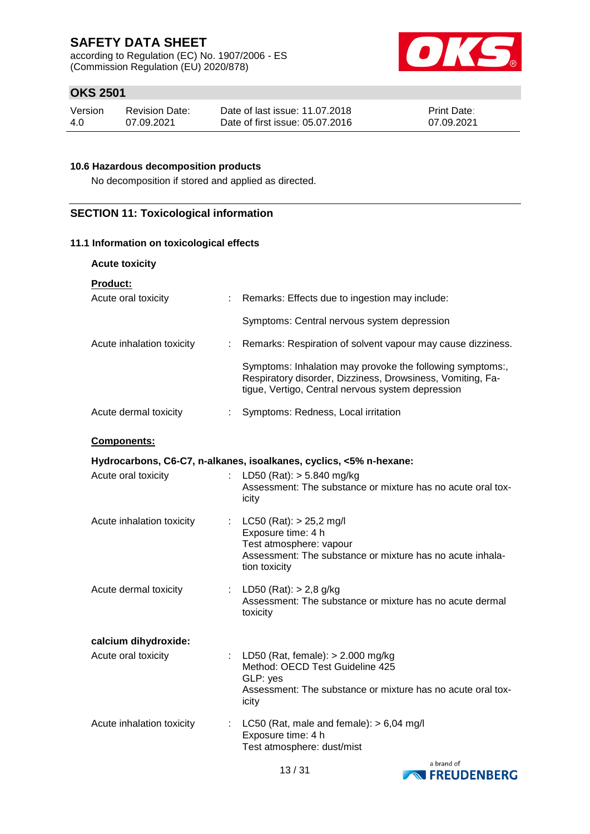according to Regulation (EC) No. 1907/2006 - ES (Commission Regulation (EU) 2020/878)



## **OKS 2501**

| Version | <b>Revision Date:</b> | Date of last issue: 11.07.2018  | <b>Print Date:</b> |
|---------|-----------------------|---------------------------------|--------------------|
| 4.0     | 07.09.2021            | Date of first issue: 05.07.2016 | 07.09.2021         |

#### **10.6 Hazardous decomposition products**

No decomposition if stored and applied as directed.

### **SECTION 11: Toxicological information**

#### **11.1 Information on toxicological effects**

#### **Acute toxicity**

| <b>Product:</b>                                                    |                                                                                                                                                                              |  |  |  |
|--------------------------------------------------------------------|------------------------------------------------------------------------------------------------------------------------------------------------------------------------------|--|--|--|
| Acute oral toxicity                                                | : Remarks: Effects due to ingestion may include:                                                                                                                             |  |  |  |
|                                                                    | Symptoms: Central nervous system depression                                                                                                                                  |  |  |  |
| Acute inhalation toxicity                                          | : Remarks: Respiration of solvent vapour may cause dizziness.                                                                                                                |  |  |  |
|                                                                    | Symptoms: Inhalation may provoke the following symptoms:,<br>Respiratory disorder, Dizziness, Drowsiness, Vomiting, Fa-<br>tique, Vertigo, Central nervous system depression |  |  |  |
| Acute dermal toxicity                                              | : Symptoms: Redness, Local irritation                                                                                                                                        |  |  |  |
| <b>Components:</b>                                                 |                                                                                                                                                                              |  |  |  |
| Hydrocarbons, C6-C7, n-alkanes, isoalkanes, cyclics, <5% n-hexane: |                                                                                                                                                                              |  |  |  |
|                                                                    |                                                                                                                                                                              |  |  |  |

| Acute oral toxicity       |   | LD50 (Rat): > 5.840 mg/kg<br>Assessment: The substance or mixture has no acute oral tox-<br>icity                                                            |
|---------------------------|---|--------------------------------------------------------------------------------------------------------------------------------------------------------------|
| Acute inhalation toxicity |   | : $LC50 (Rat): > 25.2$ mg/l<br>Exposure time: 4 h<br>Test atmosphere: vapour<br>Assessment: The substance or mixture has no acute inhala-<br>tion toxicity   |
| Acute dermal toxicity     |   | : LD50 (Rat): $> 2,8$ g/kg<br>Assessment: The substance or mixture has no acute dermal<br>toxicity                                                           |
| calcium dihydroxide:      |   |                                                                                                                                                              |
| Acute oral toxicity       |   | : LD50 (Rat, female): $> 2.000$ mg/kg<br>Method: OECD Test Guideline 425<br>GLP: yes<br>Assessment: The substance or mixture has no acute oral tox-<br>icity |
| Acute inhalation toxicity | ÷ | LC50 (Rat, male and female): $> 6,04$ mg/l<br>Exposure time: 4 h<br>Test atmosphere: dust/mist                                                               |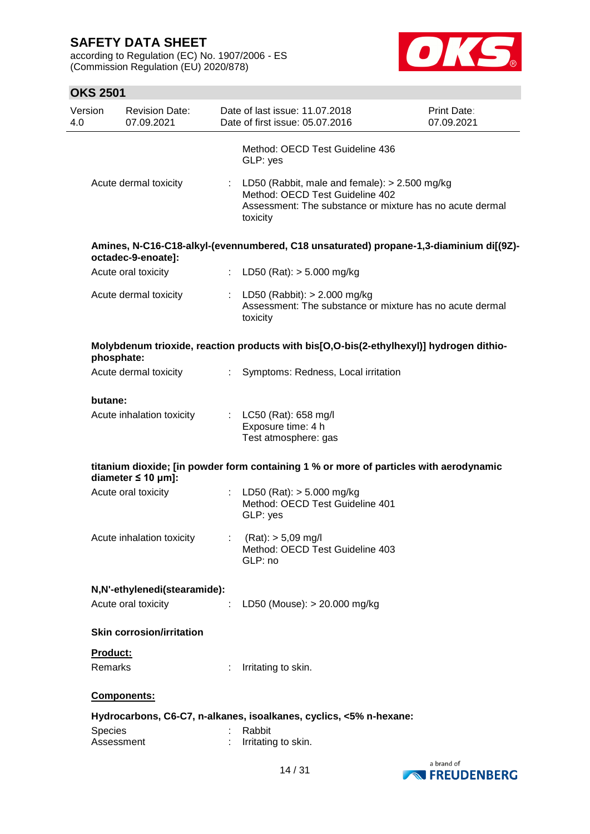according to Regulation (EC) No. 1907/2006 - ES (Commission Regulation (EU) 2020/878)



| Version<br>4.0 |                            | <b>Revision Date:</b><br>07.09.2021 |                           | Date of last issue: 11.07.2018<br>Print Date:<br>Date of first issue: 05.07.2016<br>07.09.2021                                                               |  |  |
|----------------|----------------------------|-------------------------------------|---------------------------|--------------------------------------------------------------------------------------------------------------------------------------------------------------|--|--|
|                |                            |                                     |                           | Method: OECD Test Guideline 436<br>GLP: yes                                                                                                                  |  |  |
|                |                            | Acute dermal toxicity               |                           | : LD50 (Rabbit, male and female): $> 2.500$ mg/kg<br>Method: OECD Test Guideline 402<br>Assessment: The substance or mixture has no acute dermal<br>toxicity |  |  |
|                |                            | octadec-9-enoate]:                  |                           | Amines, N-C16-C18-alkyl-(evennumbered, C18 unsaturated) propane-1,3-diaminium di[(9Z)-                                                                       |  |  |
|                |                            | Acute oral toxicity                 |                           | : LD50 (Rat): $> 5.000$ mg/kg                                                                                                                                |  |  |
|                |                            | Acute dermal toxicity               |                           | : LD50 (Rabbit): $> 2.000$ mg/kg<br>Assessment: The substance or mixture has no acute dermal<br>toxicity                                                     |  |  |
|                | phosphate:                 |                                     |                           | Molybdenum trioxide, reaction products with bis[O,O-bis(2-ethylhexyl)] hydrogen dithio-                                                                      |  |  |
|                |                            | Acute dermal toxicity               | t.                        | Symptoms: Redness, Local irritation                                                                                                                          |  |  |
|                | butane:                    |                                     |                           |                                                                                                                                                              |  |  |
|                |                            | Acute inhalation toxicity           |                           | : LC50 (Rat): 658 mg/l<br>Exposure time: 4 h<br>Test atmosphere: gas                                                                                         |  |  |
|                |                            | diameter $\leq 10$ µm]:             |                           | titanium dioxide; [in powder form containing 1 % or more of particles with aerodynamic                                                                       |  |  |
|                |                            | Acute oral toxicity                 |                           | : LD50 (Rat): $> 5.000$ mg/kg<br>Method: OECD Test Guideline 401<br>GLP: yes                                                                                 |  |  |
|                |                            | Acute inhalation toxicity           | $\mathbb{Z}^{\mathbb{Z}}$ | $(Rat):$ > 5,09 mg/l<br>Method: OECD Test Guideline 403<br>GLP: no                                                                                           |  |  |
|                |                            | N,N'-ethylenedi(stearamide):        |                           |                                                                                                                                                              |  |  |
|                |                            | Acute oral toxicity                 | ÷                         | LD50 (Mouse): > 20.000 mg/kg                                                                                                                                 |  |  |
|                |                            | <b>Skin corrosion/irritation</b>    |                           |                                                                                                                                                              |  |  |
|                | <b>Product:</b><br>Remarks |                                     |                           | Irritating to skin.                                                                                                                                          |  |  |
|                |                            |                                     |                           |                                                                                                                                                              |  |  |
|                |                            | Components:                         |                           |                                                                                                                                                              |  |  |
|                |                            |                                     |                           | Hydrocarbons, C6-C7, n-alkanes, isoalkanes, cyclics, <5% n-hexane:                                                                                           |  |  |
|                | Species<br>Assessment      |                                     |                           | Rabbit<br>Irritating to skin.                                                                                                                                |  |  |

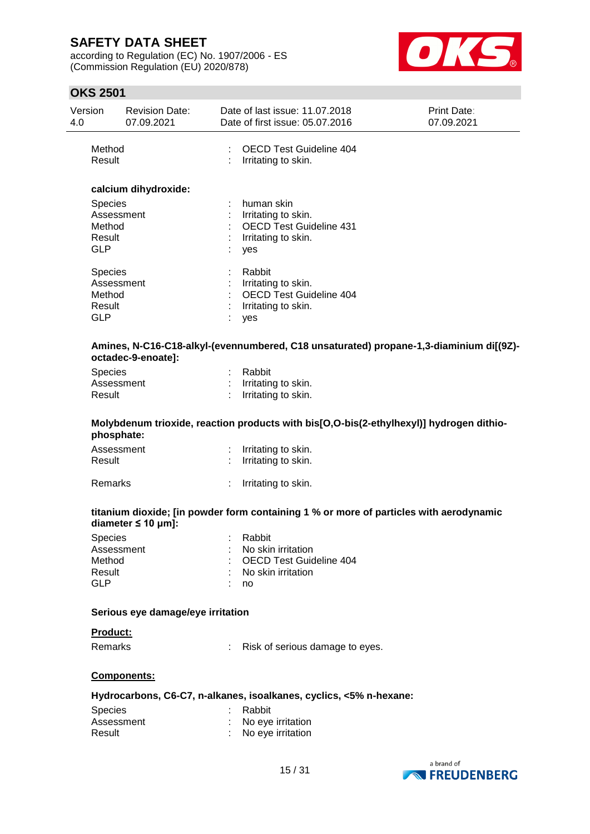according to Regulation (EC) No. 1907/2006 - ES (Commission Regulation (EU) 2020/878)



### **OKS 2501**

| Version<br>4.0                            | <b>Revision Date:</b><br>07.09.2021 | Date of last issue: 11.07.2018<br>Date of first issue: 05.07.2016                                 | Print Date:<br>07.09.2021 |
|-------------------------------------------|-------------------------------------|---------------------------------------------------------------------------------------------------|---------------------------|
| Method<br>Result                          |                                     | <b>OECD Test Guideline 404</b><br>Irritating to skin.                                             |                           |
|                                           | calcium dihydroxide:                |                                                                                                   |                           |
| Species<br>Method<br>Result<br><b>GLP</b> | Assessment                          | human skin<br>Irritating to skin.<br><b>OECD Test Guideline 431</b><br>Irritating to skin.<br>yes |                           |
| Species<br>Method<br>Result<br><b>GLP</b> | Assessment                          | Rabbit<br>Irritating to skin.<br><b>OECD Test Guideline 404</b><br>Irritating to skin.<br>yes     |                           |
|                                           | octadec-9-enoate]:                  | Amines, N-C16-C18-alkyl-(evennumbered, C18 unsaturated) propane-1,3-diaminium di[(9Z)-            |                           |
| <b>Species</b>                            |                                     | Rabbit                                                                                            |                           |
| Result                                    | Assessment                          | Irritating to skin.<br>Irritating to skin.                                                        |                           |
|                                           | phosphate:                          | Molybdenum trioxide, reaction products with bis[O,O-bis(2-ethylhexyl)] hydrogen dithio-           |                           |
|                                           | Assessment                          | Irritating to skin.                                                                               |                           |
| Result                                    |                                     | Irritating to skin.                                                                               |                           |
| Remarks                                   |                                     | Irritating to skin.                                                                               |                           |

#### **titanium dioxide; [in powder form containing 1 % or more of particles with aerodynamic diameter ≤ 10 μm]:**

| : Rabbit                        |
|---------------------------------|
| : No skin irritation            |
| : OECD Test Guideline 404       |
| $\therefore$ No skin irritation |
| : no                            |
|                                 |

### **Serious eye damage/eye irritation**

#### **Product:**

Remarks : Risk of serious damage to eyes.

#### **Components:**

#### **Hydrocarbons, C6-C7, n-alkanes, isoalkanes, cyclics, <5% n-hexane:**

| <b>Species</b> | : Rabbit            |
|----------------|---------------------|
| Assessment     | : No eye irritation |
| Result         | : No eye irritation |

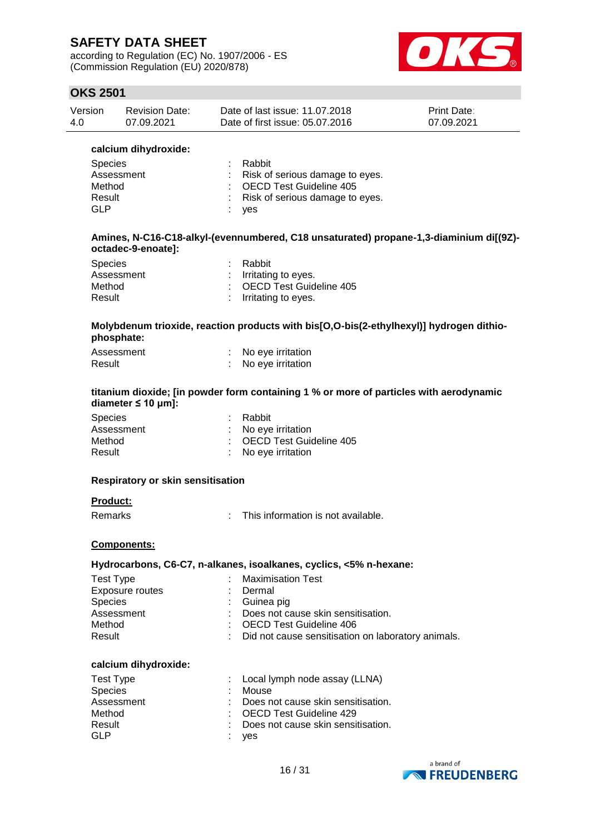according to Regulation (EC) No. 1907/2006 - ES (Commission Regulation (EU) 2020/878)



## **OKS 2501**

| Version | <b>Revision Date:</b> | Date of last issue: 11.07.2018  | <b>Print Date:</b> |
|---------|-----------------------|---------------------------------|--------------------|
| 4.0     | 07.09.2021            | Date of first issue: 05.07.2016 | 07.09.2021         |

| calcium dihydroxide: |                                   |
|----------------------|-----------------------------------|
| <b>Species</b>       | Rabbit                            |
| Assessment           | : Risk of serious damage to eyes. |
| Method               | : OECD Test Guideline 405         |
| Result               | : Risk of serious damage to eyes. |
| GI P                 | ves                               |
|                      |                                   |

#### **Amines, N-C16-C18-alkyl-(evennumbered, C18 unsaturated) propane-1,3-diaminium di[(9Z) octadec-9-enoate]:**

| <b>Species</b> | : Rabbit                  |
|----------------|---------------------------|
| Assessment     | $:$ Irritating to eyes.   |
| Method         | : OECD Test Guideline 405 |
| Result         | : Irritating to eyes.     |

#### **Molybdenum trioxide, reaction products with bis[O,O-bis(2-ethylhexyl)] hydrogen dithiophosphate:**

| Assessment | No eye irritation |
|------------|-------------------|
| Result     | No eye irritation |

#### **titanium dioxide; [in powder form containing 1 % or more of particles with aerodynamic diameter ≤ 10 μm]:**

| <b>Species</b> | : Rabbit                  |
|----------------|---------------------------|
| Assessment     | : No eve irritation       |
| Method         | : OECD Test Guideline 405 |
| Result         | : No eye irritation       |

#### **Respiratory or skin sensitisation**

#### **Product:**

Remarks : This information is not available.

#### **Components:**

#### **Hydrocarbons, C6-C7, n-alkanes, isoalkanes, cyclics, <5% n-hexane:**

| Test Type       | : Maximisation Test                                |
|-----------------|----------------------------------------------------|
| Exposure routes | Dermal                                             |
| <b>Species</b>  | : Guinea pig                                       |
| Assessment      | Does not cause skin sensitisation.                 |
| Method          | : OECD Test Guideline 406                          |
| Result          | Did not cause sensitisation on laboratory animals. |

#### **calcium dihydroxide:**

| <b>Test Type</b><br><b>Species</b> |       | : Local lymph node assay (LLNA)<br>: Mouse                                   |
|------------------------------------|-------|------------------------------------------------------------------------------|
| Assessment<br>Method               |       | $\therefore$ Does not cause skin sensitisation.<br>: OECD Test Guideline 429 |
| Result<br>GLP                      | : yes | : Does not cause skin sensitisation.                                         |

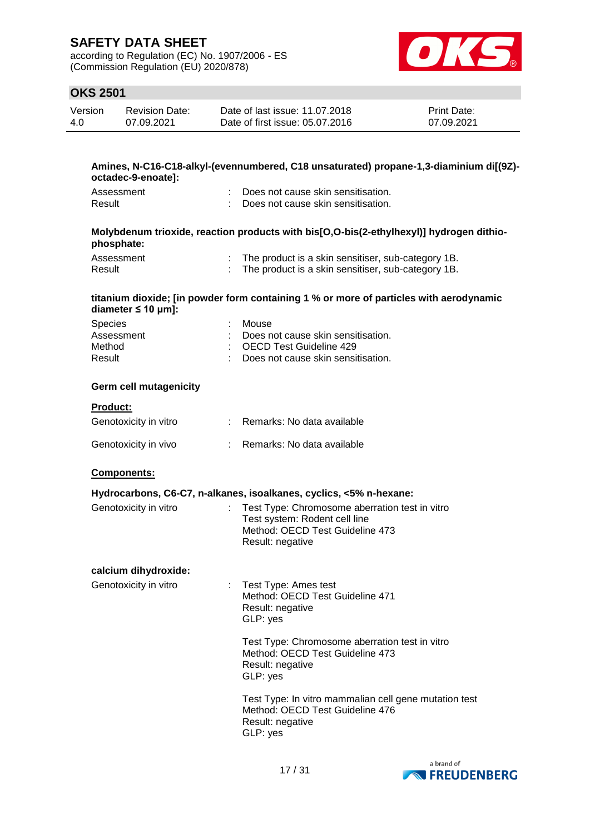according to Regulation (EC) No. 1907/2006 - ES (Commission Regulation (EU) 2020/878)



## **OKS 2501**

| Version | <b>Revision Date:</b> | Date of last issue: 11.07.2018  | <b>Print Date:</b> |
|---------|-----------------------|---------------------------------|--------------------|
| 4.0     | 07.09.2021            | Date of first issue: 05.07.2016 | 07.09.2021         |

#### **Amines, N-C16-C18-alkyl-(evennumbered, C18 unsaturated) propane-1,3-diaminium di[(9Z) octadec-9-enoate]:**

| Assessment | : Does not cause skin sensitisation. |
|------------|--------------------------------------|
| Result     | : Does not cause skin sensitisation. |

#### **Molybdenum trioxide, reaction products with bis[O,O-bis(2-ethylhexyl)] hydrogen dithiophosphate:**

| Assessment | : The product is a skin sensitiser, sub-category 1B. |
|------------|------------------------------------------------------|
| Result     | : The product is a skin sensitiser, sub-category 1B. |

#### **titanium dioxide; [in powder form containing 1 % or more of particles with aerodynamic diameter ≤ 10 μm]:**

| <b>Species</b> | : Mouse                              |
|----------------|--------------------------------------|
| Assessment     | : Does not cause skin sensitisation. |
| Method         | : OECD Test Guideline 429            |
| Result         | : Does not cause skin sensitisation. |

#### **Germ cell mutagenicity**

| Genotoxicity in vitro | Remarks: No data available |
|-----------------------|----------------------------|
| Genotoxicity in vivo  | Remarks: No data available |

#### **Components:**

#### **Hydrocarbons, C6-C7, n-alkanes, isoalkanes, cyclics, <5% n-hexane:**

| : Test Type: Chromosome aberration test in vitro |
|--------------------------------------------------|
| Test system: Rodent cell line                    |
| Method: OECD Test Guideline 473                  |
| Result: negative                                 |
|                                                  |

#### **calcium dihydroxide:**

| Genotoxicity in vitro | : Test Type: Ames test          |
|-----------------------|---------------------------------|
|                       | Method: OECD Test Guideline 471 |
|                       | Result: negative                |
|                       | GLP: yes                        |

Test Type: Chromosome aberration test in vitro Method: OECD Test Guideline 473 Result: negative GLP: yes

Test Type: In vitro mammalian cell gene mutation test Method: OECD Test Guideline 476 Result: negative GLP: yes

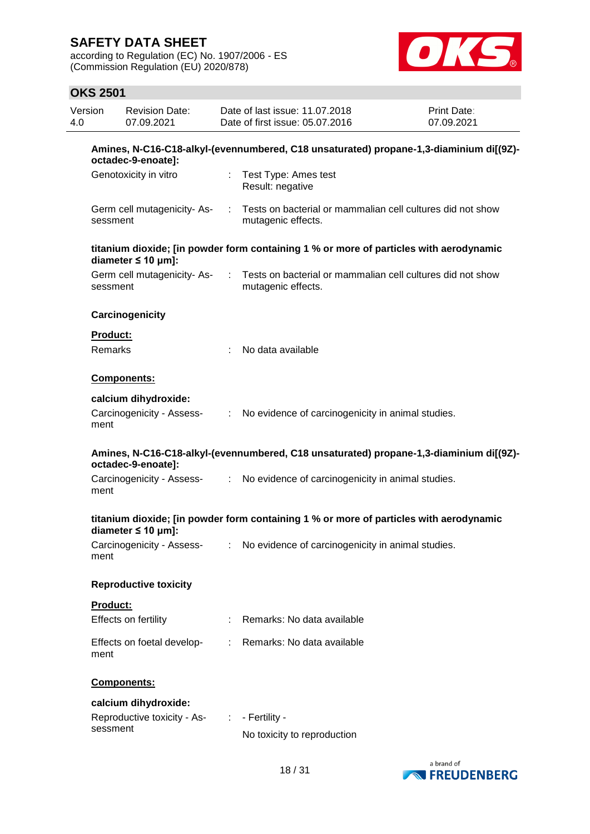according to Regulation (EC) No. 1907/2006 - ES (Commission Regulation (EU) 2020/878)



| Version<br>4.0 |                                                                                                              | <b>Revision Date:</b><br>07.09.2021                                 |                               | Date of last issue: 11.07.2018<br>Date of first issue: 05.07.2016                      | Print Date:<br>07.09.2021 |  |  |  |  |
|----------------|--------------------------------------------------------------------------------------------------------------|---------------------------------------------------------------------|-------------------------------|----------------------------------------------------------------------------------------|---------------------------|--|--|--|--|
|                | Amines, N-C16-C18-alkyl-(evennumbered, C18 unsaturated) propane-1,3-diaminium di[(9Z)-<br>octadec-9-enoate]: |                                                                     |                               |                                                                                        |                           |  |  |  |  |
|                |                                                                                                              | Genotoxicity in vitro                                               |                               | : Test Type: Ames test<br>Result: negative                                             |                           |  |  |  |  |
|                | sessment                                                                                                     | Germ cell mutagenicity-As-                                          | $\mathcal{L}$                 | Tests on bacterial or mammalian cell cultures did not show<br>mutagenic effects.       |                           |  |  |  |  |
|                |                                                                                                              | diameter $\leq 10$ µm]:                                             |                               | titanium dioxide; [in powder form containing 1 % or more of particles with aerodynamic |                           |  |  |  |  |
|                | sessment                                                                                                     | Germ cell mutagenicity-As-                                          | ÷                             | Tests on bacterial or mammalian cell cultures did not show<br>mutagenic effects.       |                           |  |  |  |  |
|                |                                                                                                              | Carcinogenicity                                                     |                               |                                                                                        |                           |  |  |  |  |
|                | <b>Product:</b><br>Remarks                                                                                   |                                                                     |                               | No data available                                                                      |                           |  |  |  |  |
|                |                                                                                                              | <b>Components:</b>                                                  |                               |                                                                                        |                           |  |  |  |  |
|                | ment                                                                                                         | calcium dihydroxide:<br>Carcinogenicity - Assess-                   | $\mathcal{I}^{\mathcal{I}}$ . | No evidence of carcinogenicity in animal studies.                                      |                           |  |  |  |  |
|                |                                                                                                              | octadec-9-enoate]:                                                  |                               | Amines, N-C16-C18-alkyl-(evennumbered, C18 unsaturated) propane-1,3-diaminium di[(9Z)- |                           |  |  |  |  |
|                | ment                                                                                                         | Carcinogenicity - Assess-                                           | $\mathcal{I}^{\mathcal{I}}$ . | No evidence of carcinogenicity in animal studies.                                      |                           |  |  |  |  |
|                |                                                                                                              | diameter $\leq 10$ µm]:                                             |                               | titanium dioxide; [in powder form containing 1 % or more of particles with aerodynamic |                           |  |  |  |  |
|                | ment                                                                                                         |                                                                     |                               | Carcinogenicity - Assess- : No evidence of carcinogenicity in animal studies.          |                           |  |  |  |  |
|                |                                                                                                              | <b>Reproductive toxicity</b>                                        |                               |                                                                                        |                           |  |  |  |  |
|                | Product:                                                                                                     | Effects on fertility                                                | ÷                             | Remarks: No data available                                                             |                           |  |  |  |  |
|                | ment                                                                                                         | Effects on foetal develop-                                          | $\mathcal{L}^{\mathcal{L}}$   | Remarks: No data available                                                             |                           |  |  |  |  |
|                |                                                                                                              | Components:                                                         |                               |                                                                                        |                           |  |  |  |  |
|                | sessment                                                                                                     | calcium dihydroxide:<br>Reproductive toxicity - As- : - Fertility - |                               | No toxicity to reproduction                                                            |                           |  |  |  |  |

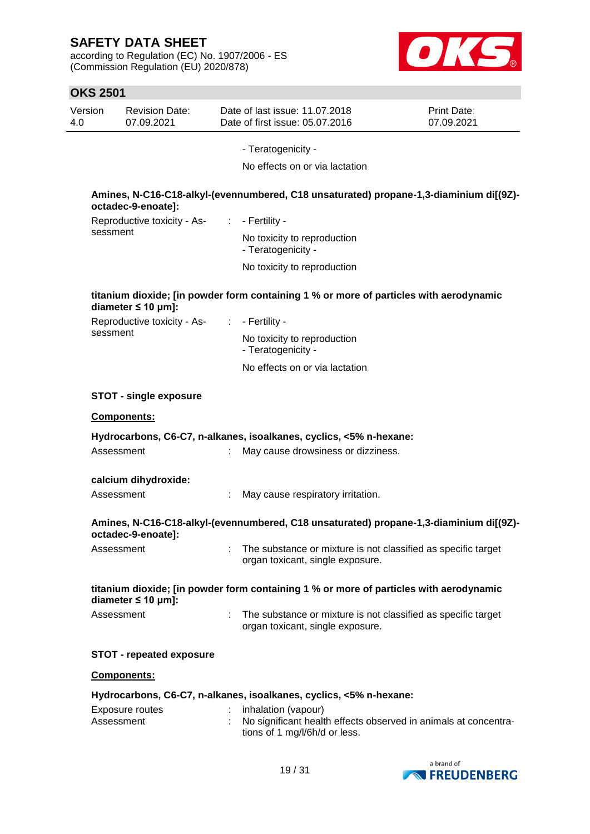according to Regulation (EC) No. 1907/2006 - ES (Commission Regulation (EU) 2020/878)



| <b>OKS 2501</b> |                                     |              |                                                                                                                         |                           |
|-----------------|-------------------------------------|--------------|-------------------------------------------------------------------------------------------------------------------------|---------------------------|
| Version<br>4.0  | <b>Revision Date:</b><br>07.09.2021 |              | Date of last issue: 11.07.2018<br>Date of first issue: 05.07.2016                                                       | Print Date:<br>07.09.2021 |
|                 |                                     |              | - Teratogenicity -                                                                                                      |                           |
|                 |                                     |              | No effects on or via lactation                                                                                          |                           |
|                 | octadec-9-enoate]:                  |              | Amines, N-C16-C18-alkyl-(evennumbered, C18 unsaturated) propane-1,3-diaminium di[(9Z)-                                  |                           |
|                 | Reproductive toxicity - As-         | ÷            | - Fertility -                                                                                                           |                           |
| sessment        |                                     |              | No toxicity to reproduction<br>- Teratogenicity -                                                                       |                           |
|                 |                                     |              | No toxicity to reproduction                                                                                             |                           |
|                 | diameter $\leq 10$ µm]:             |              | titanium dioxide; [in powder form containing 1 % or more of particles with aerodynamic                                  |                           |
|                 | Reproductive toxicity - As-         | $\mathbb{C}$ | - Fertility -                                                                                                           |                           |
| sessment        |                                     |              | No toxicity to reproduction<br>- Teratogenicity -                                                                       |                           |
|                 |                                     |              | No effects on or via lactation                                                                                          |                           |
|                 | <b>STOT - single exposure</b>       |              |                                                                                                                         |                           |
|                 | Components:                         |              |                                                                                                                         |                           |
|                 |                                     |              | Hydrocarbons, C6-C7, n-alkanes, isoalkanes, cyclics, <5% n-hexane:                                                      |                           |
| Assessment      |                                     |              | May cause drowsiness or dizziness.                                                                                      |                           |
|                 | calcium dihydroxide:                |              |                                                                                                                         |                           |
| Assessment      |                                     |              | May cause respiratory irritation.                                                                                       |                           |
|                 | octadec-9-enoate]:                  |              | Amines, N-C16-C18-alkyl-(evennumbered, C18 unsaturated) propane-1,3-diaminium di[(9Z)-                                  |                           |
| Assessment      |                                     | ÷            | The substance or mixture is not classified as specific target<br>organ toxicant, single exposure.                       |                           |
|                 | diameter $\leq 10$ µm]:             |              | titanium dioxide; [in powder form containing 1 % or more of particles with aerodynamic                                  |                           |
| Assessment      |                                     | ÷            | The substance or mixture is not classified as specific target<br>organ toxicant, single exposure.                       |                           |
|                 | <b>STOT - repeated exposure</b>     |              |                                                                                                                         |                           |
|                 | Components:                         |              |                                                                                                                         |                           |
|                 |                                     |              | Hydrocarbons, C6-C7, n-alkanes, isoalkanes, cyclics, <5% n-hexane:                                                      |                           |
| Assessment      | Exposure routes                     |              | inhalation (vapour)<br>No significant health effects observed in animals at concentra-<br>tions of 1 mg/l/6h/d or less. |                           |

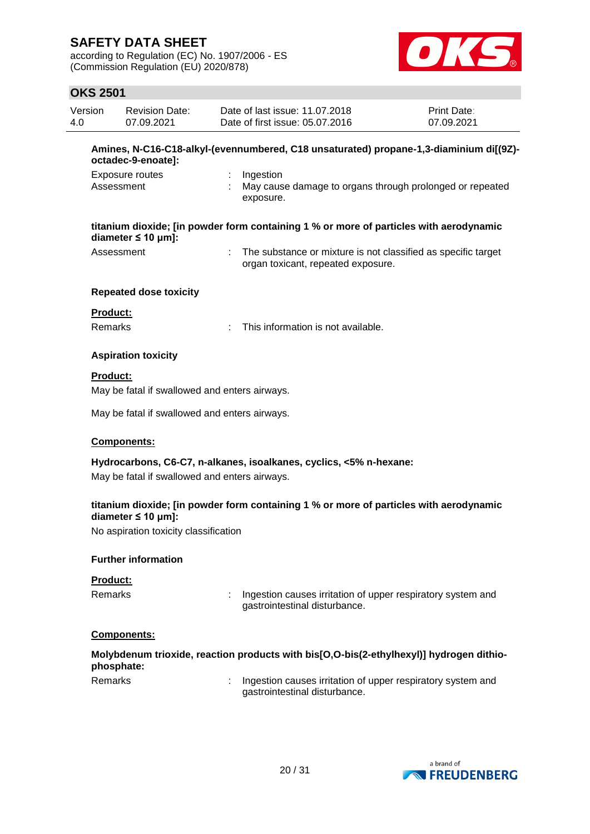according to Regulation (EC) No. 1907/2006 - ES (Commission Regulation (EU) 2020/878)



| Version<br>4.0  | <b>Revision Date:</b><br>07.09.2021                                                                          |   | Date of last issue: 11.07.2018<br>Date of first issue: 05.07.2016                                   | <b>Print Date:</b><br>07.09.2021 |  |  |  |  |
|-----------------|--------------------------------------------------------------------------------------------------------------|---|-----------------------------------------------------------------------------------------------------|----------------------------------|--|--|--|--|
|                 | Amines, N-C16-C18-alkyl-(evennumbered, C18 unsaturated) propane-1,3-diaminium di[(9Z)-<br>octadec-9-enoate]: |   |                                                                                                     |                                  |  |  |  |  |
|                 | Exposure routes<br>Assessment                                                                                |   | Ingestion<br>May cause damage to organs through prolonged or repeated<br>exposure.                  |                                  |  |  |  |  |
|                 | diameter $\leq 10$ µm]:                                                                                      |   | titanium dioxide; [in powder form containing 1 % or more of particles with aerodynamic              |                                  |  |  |  |  |
|                 | Assessment                                                                                                   |   | The substance or mixture is not classified as specific target<br>organ toxicant, repeated exposure. |                                  |  |  |  |  |
|                 | <b>Repeated dose toxicity</b>                                                                                |   |                                                                                                     |                                  |  |  |  |  |
| Product:        |                                                                                                              |   |                                                                                                     |                                  |  |  |  |  |
| <b>Remarks</b>  |                                                                                                              |   | This information is not available.                                                                  |                                  |  |  |  |  |
|                 | <b>Aspiration toxicity</b>                                                                                   |   |                                                                                                     |                                  |  |  |  |  |
| <b>Product:</b> |                                                                                                              |   |                                                                                                     |                                  |  |  |  |  |
|                 | May be fatal if swallowed and enters airways.                                                                |   |                                                                                                     |                                  |  |  |  |  |
|                 | May be fatal if swallowed and enters airways.                                                                |   |                                                                                                     |                                  |  |  |  |  |
|                 | Components:                                                                                                  |   |                                                                                                     |                                  |  |  |  |  |
|                 |                                                                                                              |   | Hydrocarbons, C6-C7, n-alkanes, isoalkanes, cyclics, <5% n-hexane:                                  |                                  |  |  |  |  |
|                 | May be fatal if swallowed and enters airways.                                                                |   |                                                                                                     |                                  |  |  |  |  |
|                 | diameter $\leq 10$ µm]:                                                                                      |   | titanium dioxide; [in powder form containing 1 % or more of particles with aerodynamic              |                                  |  |  |  |  |
|                 | No aspiration toxicity classification                                                                        |   |                                                                                                     |                                  |  |  |  |  |
|                 | <b>Further information</b>                                                                                   |   |                                                                                                     |                                  |  |  |  |  |
| Product:        |                                                                                                              |   |                                                                                                     |                                  |  |  |  |  |
| Remarks         |                                                                                                              | t | Ingestion causes irritation of upper respiratory system and<br>gastrointestinal disturbance.        |                                  |  |  |  |  |
|                 | Components:                                                                                                  |   |                                                                                                     |                                  |  |  |  |  |
|                 | phosphate:                                                                                                   |   | Molybdenum trioxide, reaction products with bis[O,O-bis(2-ethylhexyl)] hydrogen dithio-             |                                  |  |  |  |  |
| Remarks         |                                                                                                              |   | Ingestion causes irritation of upper respiratory system and<br>gastrointestinal disturbance.        |                                  |  |  |  |  |
|                 |                                                                                                              |   |                                                                                                     |                                  |  |  |  |  |

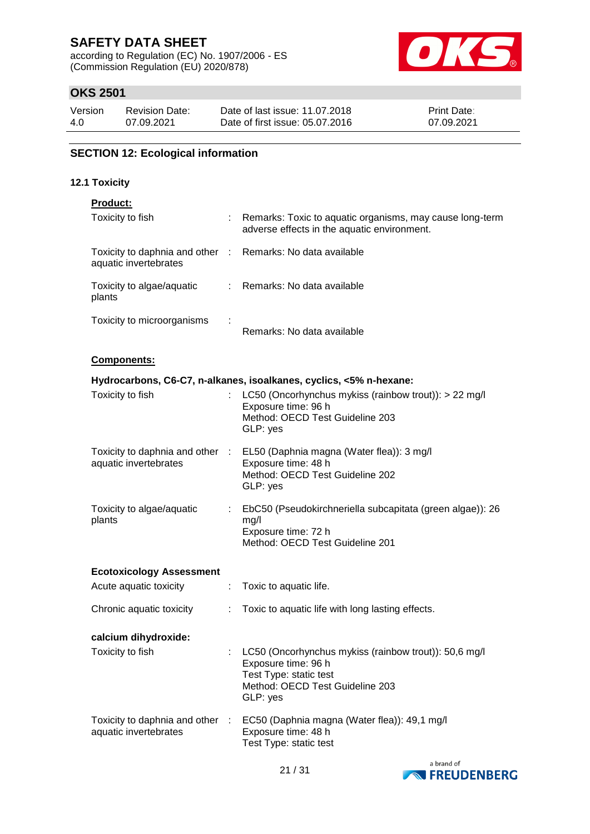according to Regulation (EC) No. 1907/2006 - ES (Commission Regulation (EU) 2020/878)



## **OKS 2501**

| Version | <b>Revision Date:</b> | Date of last issue: 11.07.2018  | <b>Print Date:</b> |
|---------|-----------------------|---------------------------------|--------------------|
| 4.0     | 07.09.2021            | Date of first issue: 05.07.2016 | 07.09.2021         |

## **SECTION 12: Ecological information**

### **12.1 Toxicity**

| Product:                                                                            |                |                                                                                                                                                       |
|-------------------------------------------------------------------------------------|----------------|-------------------------------------------------------------------------------------------------------------------------------------------------------|
| Toxicity to fish                                                                    |                | Remarks: Toxic to aquatic organisms, may cause long-term<br>adverse effects in the aquatic environment.                                               |
| Toxicity to daphnia and other : Remarks: No data available<br>aquatic invertebrates |                |                                                                                                                                                       |
| Toxicity to algae/aquatic<br>plants                                                 |                | : Remarks: No data available                                                                                                                          |
| Toxicity to microorganisms                                                          |                | Remarks: No data available                                                                                                                            |
| <b>Components:</b>                                                                  |                |                                                                                                                                                       |
|                                                                                     |                | Hydrocarbons, C6-C7, n-alkanes, isoalkanes, cyclics, <5% n-hexane:                                                                                    |
| Toxicity to fish                                                                    | $\mathbb{R}^n$ | LC50 (Oncorhynchus mykiss (rainbow trout)): > 22 mg/l<br>Exposure time: 96 h<br>Method: OECD Test Guideline 203<br>GLP: yes                           |
| aquatic invertebrates                                                               |                | Toxicity to daphnia and other : EL50 (Daphnia magna (Water flea)): 3 mg/l<br>Exposure time: 48 h<br>Method: OECD Test Guideline 202<br>GLP: yes       |
| Toxicity to algae/aquatic<br>plants                                                 |                | EbC50 (Pseudokirchneriella subcapitata (green algae)): 26<br>mg/l<br>Exposure time: 72 h<br>Method: OECD Test Guideline 201                           |
| <b>Ecotoxicology Assessment</b>                                                     |                |                                                                                                                                                       |
| Acute aquatic toxicity                                                              | ÷.             | Toxic to aquatic life.                                                                                                                                |
| Chronic aquatic toxicity                                                            | ÷              | Toxic to aquatic life with long lasting effects.                                                                                                      |
| calcium dihydroxide:                                                                |                |                                                                                                                                                       |
| Toxicity to fish                                                                    |                | LC50 (Oncorhynchus mykiss (rainbow trout)): 50,6 mg/l<br>Exposure time: 96 h<br>Test Type: static test<br>Method: OECD Test Guideline 203<br>GLP: yes |
| Toxicity to daphnia and other<br>aquatic invertebrates                              | - 11           | EC50 (Daphnia magna (Water flea)): 49,1 mg/l<br>Exposure time: 48 h<br>Test Type: static test                                                         |

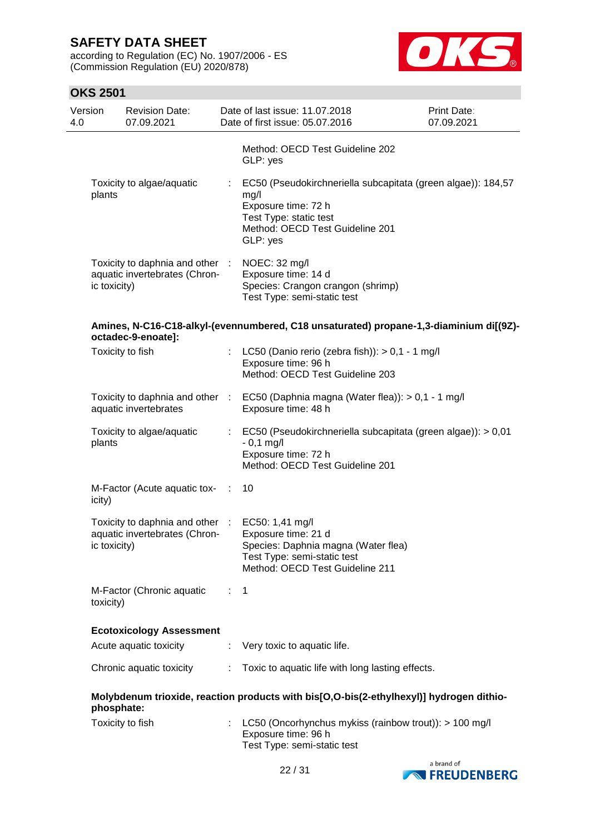according to Regulation (EC) No. 1907/2006 - ES (Commission Regulation (EU) 2020/878)



| 4.0 | Version      | <b>Revision Date:</b><br>07.09.2021                              |                | Date of last issue: 11.07.2018<br>Date of first issue: 05.07.2016                                                                                                    | Print Date:<br>07.09.2021 |
|-----|--------------|------------------------------------------------------------------|----------------|----------------------------------------------------------------------------------------------------------------------------------------------------------------------|---------------------------|
|     |              |                                                                  |                | Method: OECD Test Guideline 202<br>GLP: yes                                                                                                                          |                           |
|     | plants       | Toxicity to algae/aquatic                                        |                | EC50 (Pseudokirchneriella subcapitata (green algae)): 184,57<br>mg/l<br>Exposure time: 72 h<br>Test Type: static test<br>Method: OECD Test Guideline 201<br>GLP: yes |                           |
|     | ic toxicity) | Toxicity to daphnia and other :<br>aquatic invertebrates (Chron- |                | NOEC: 32 mg/l<br>Exposure time: 14 d<br>Species: Crangon crangon (shrimp)<br>Test Type: semi-static test                                                             |                           |
|     |              | octadec-9-enoate]:                                               |                | Amines, N-C16-C18-alkyl-(evennumbered, C18 unsaturated) propane-1,3-diaminium di[(9Z)-                                                                               |                           |
|     |              | Toxicity to fish                                                 |                | LC50 (Danio rerio (zebra fish)): $> 0,1 - 1$ mg/l<br>Exposure time: 96 h<br>Method: OECD Test Guideline 203                                                          |                           |
|     |              | aquatic invertebrates                                            |                | Toxicity to daphnia and other : EC50 (Daphnia magna (Water flea)): > 0,1 - 1 mg/l<br>Exposure time: 48 h                                                             |                           |
|     | plants       | Toxicity to algae/aquatic                                        | t.             | EC50 (Pseudokirchneriella subcapitata (green algae)): > 0,01<br>$-0,1$ mg/l<br>Exposure time: 72 h<br>Method: OECD Test Guideline 201                                |                           |
|     | icity)       | M-Factor (Acute aquatic tox-                                     | $\sim 10$      | 10                                                                                                                                                                   |                           |
|     | ic toxicity) | Toxicity to daphnia and other :<br>aquatic invertebrates (Chron- |                | EC50: 1,41 mg/l<br>Exposure time: 21 d<br>Species: Daphnia magna (Water flea)<br>Test Type: semi-static test<br>Method: OECD Test Guideline 211                      |                           |
|     | toxicity)    | M-Factor (Chronic aquatic                                        | $\mathbb{R}^n$ | $\mathbf{1}$                                                                                                                                                         |                           |
|     |              | <b>Ecotoxicology Assessment</b>                                  |                |                                                                                                                                                                      |                           |
|     |              | Acute aquatic toxicity                                           | ÷              | Very toxic to aquatic life.                                                                                                                                          |                           |
|     |              | Chronic aquatic toxicity                                         | ÷.             | Toxic to aquatic life with long lasting effects.                                                                                                                     |                           |
|     | phosphate:   |                                                                  |                | Molybdenum trioxide, reaction products with bis[O,O-bis(2-ethylhexyl)] hydrogen dithio-                                                                              |                           |
|     |              | Toxicity to fish                                                 |                | LC50 (Oncorhynchus mykiss (rainbow trout)): > 100 mg/l<br>Exposure time: 96 h<br>Test Type: semi-static test                                                         |                           |

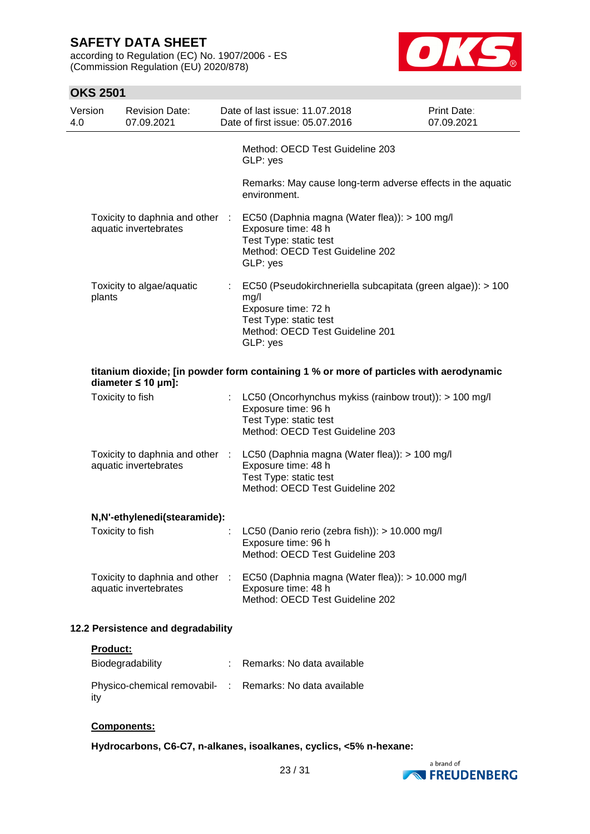according to Regulation (EC) No. 1907/2006 - ES (Commission Regulation (EU) 2020/878)



#### **OKS 2501** Version 4.0 Revision Date: 07.09.2021 Date of last issue: 11.07.2018 Date of first issue: 05.07.2016 Print Date: 07.09.2021 Method: OECD Test Guideline 203 GLP: yes Remarks: May cause long-term adverse effects in the aquatic environment. Toxicity to daphnia and other aquatic invertebrates EC50 (Daphnia magna (Water flea)): > 100 mg/l Exposure time: 48 h Test Type: static test Method: OECD Test Guideline 202 GLP: yes Toxicity to algae/aquatic plants : EC50 (Pseudokirchneriella subcapitata (green algae)): > 100 mg/l Exposure time: 72 h Test Type: static test Method: OECD Test Guideline 201 GLP: yes **titanium dioxide; [in powder form containing 1 % or more of particles with aerodynamic diameter ≤ 10 μm]:** Toxicity to fish : LC50 (Oncorhynchus mykiss (rainbow trout)): > 100 mg/l Exposure time: 96 h Test Type: static test Method: OECD Test Guideline 203 Toxicity to daphnia and other aquatic invertebrates LC50 (Daphnia magna (Water flea)): > 100 mg/l Exposure time: 48 h Test Type: static test Method: OECD Test Guideline 202 **N,N'-ethylenedi(stearamide):** Toxicity to fish : LC50 (Danio rerio (zebra fish)): > 10.000 mg/l Exposure time: 96 h Method: OECD Test Guideline 203 Toxicity to daphnia and other aquatic invertebrates EC50 (Daphnia magna (Water flea)): > 10.000 mg/l Exposure time: 48 h Method: OECD Test Guideline 202 **12.2 Persistence and degradability Product:** Biodegradability : Remarks: No data available

| Physico-chemical removabil- : Remarks: No data available<br>itv |  |
|-----------------------------------------------------------------|--|

#### **Components:**

**Hydrocarbons, C6-C7, n-alkanes, isoalkanes, cyclics, <5% n-hexane:**

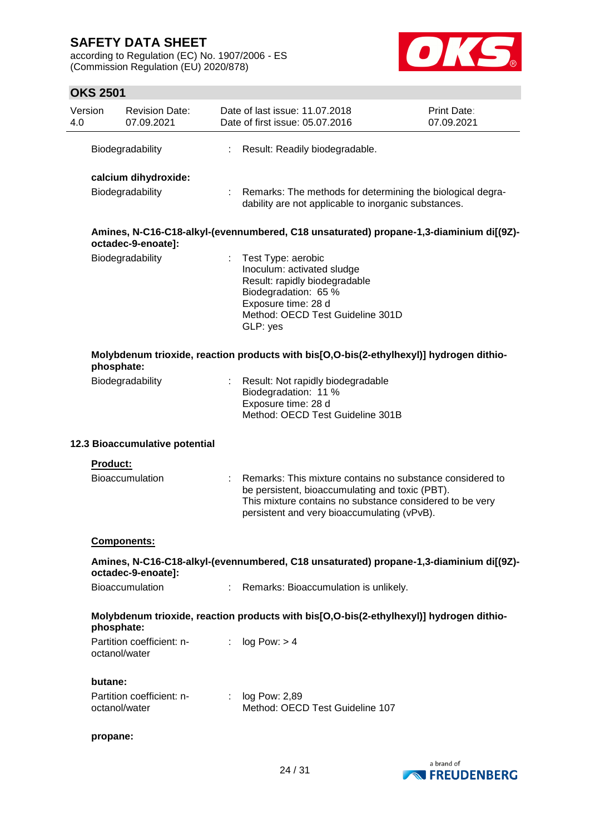according to Regulation (EC) No. 1907/2006 - ES (Commission Regulation (EU) 2020/878)



| Version<br>4.0 |                 | <b>Revision Date:</b><br>07.09.2021 |    | Date of last issue: 11.07.2018<br>Date of first issue: 05.07.2016                                                                                                                                                       | Print Date:<br>07.09.2021 |
|----------------|-----------------|-------------------------------------|----|-------------------------------------------------------------------------------------------------------------------------------------------------------------------------------------------------------------------------|---------------------------|
|                |                 | Biodegradability                    | ÷  | Result: Readily biodegradable.                                                                                                                                                                                          |                           |
|                |                 | calcium dihydroxide:                |    |                                                                                                                                                                                                                         |                           |
|                |                 | Biodegradability                    | ÷  | Remarks: The methods for determining the biological degra-<br>dability are not applicable to inorganic substances.                                                                                                      |                           |
|                |                 | octadec-9-enoate]:                  |    | Amines, N-C16-C18-alkyl-(evennumbered, C18 unsaturated) propane-1,3-diaminium di[(9Z)-                                                                                                                                  |                           |
|                |                 | Biodegradability                    | ÷  | Test Type: aerobic<br>Inoculum: activated sludge<br>Result: rapidly biodegradable<br>Biodegradation: 65 %<br>Exposure time: 28 d<br>Method: OECD Test Guideline 301D<br>GLP: yes                                        |                           |
|                | phosphate:      |                                     |    | Molybdenum trioxide, reaction products with bis[O,O-bis(2-ethylhexyl)] hydrogen dithio-                                                                                                                                 |                           |
|                |                 | Biodegradability                    |    | Result: Not rapidly biodegradable<br>Biodegradation: 11 %<br>Exposure time: 28 d<br>Method: OECD Test Guideline 301B                                                                                                    |                           |
|                |                 | 12.3 Bioaccumulative potential      |    |                                                                                                                                                                                                                         |                           |
|                | <b>Product:</b> |                                     |    |                                                                                                                                                                                                                         |                           |
|                |                 | <b>Bioaccumulation</b>              |    | Remarks: This mixture contains no substance considered to<br>be persistent, bioaccumulating and toxic (PBT).<br>This mixture contains no substance considered to be very<br>persistent and very bioaccumulating (vPvB). |                           |
|                |                 | <b>Components:</b>                  |    |                                                                                                                                                                                                                         |                           |
|                |                 | octadec-9-enoate]:                  |    | Amines, N-C16-C18-alkyl-(evennumbered, C18 unsaturated) propane-1,3-diaminium di[(9Z)-                                                                                                                                  |                           |
|                |                 | Bioaccumulation                     |    | Remarks: Bioaccumulation is unlikely.                                                                                                                                                                                   |                           |
|                | phosphate:      |                                     |    | Molybdenum trioxide, reaction products with bis[O,O-bis(2-ethylhexyl)] hydrogen dithio-                                                                                                                                 |                           |
|                | octanol/water   | Partition coefficient: n-           | ÷. | log Pow: > 4                                                                                                                                                                                                            |                           |
|                | butane:         |                                     |    |                                                                                                                                                                                                                         |                           |
|                | octanol/water   | Partition coefficient: n-           | ÷  | log Pow: 2,89<br>Method: OECD Test Guideline 107                                                                                                                                                                        |                           |
|                | propane:        |                                     |    |                                                                                                                                                                                                                         |                           |

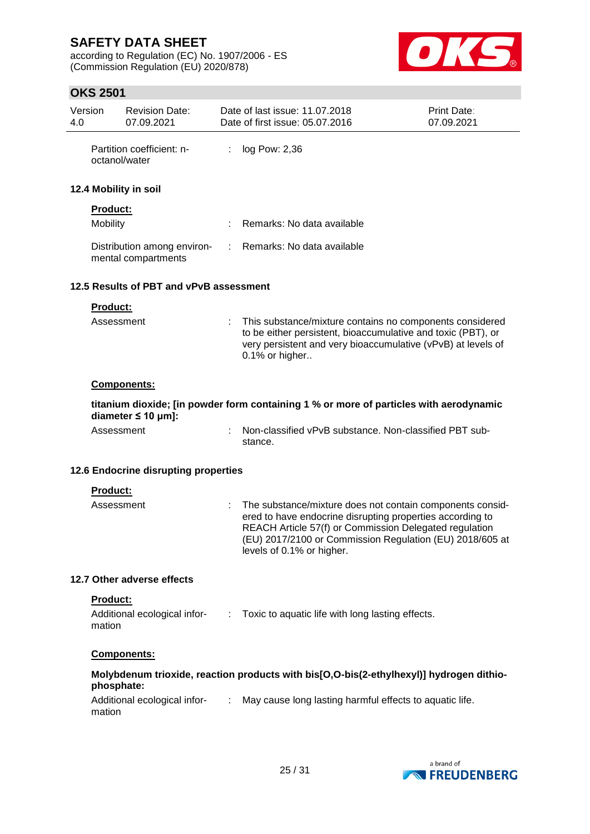according to Regulation (EC) No. 1907/2006 - ES (Commission Regulation (EU) 2020/878)



| 4.0 | Version            | <b>Revision Date:</b><br>07.09.2021                |                             | Date of last issue: 11.07.2018<br>Date of first issue: 05.07.2016                                                                                                                                                                                                         | Print Date:<br>07.09.2021 |
|-----|--------------------|----------------------------------------------------|-----------------------------|---------------------------------------------------------------------------------------------------------------------------------------------------------------------------------------------------------------------------------------------------------------------------|---------------------------|
|     |                    | Partition coefficient: n-<br>octanol/water         | $\ddot{\ddot{\phantom{z}}}$ | log Pow: 2,36                                                                                                                                                                                                                                                             |                           |
|     |                    | 12.4 Mobility in soil                              |                             |                                                                                                                                                                                                                                                                           |                           |
|     | Product:           |                                                    |                             |                                                                                                                                                                                                                                                                           |                           |
|     | Mobility           |                                                    |                             | Remarks: No data available                                                                                                                                                                                                                                                |                           |
|     |                    | Distribution among environ-<br>mental compartments |                             | Remarks: No data available                                                                                                                                                                                                                                                |                           |
|     |                    | 12.5 Results of PBT and vPvB assessment            |                             |                                                                                                                                                                                                                                                                           |                           |
|     | Product:           |                                                    |                             |                                                                                                                                                                                                                                                                           |                           |
|     | Assessment         |                                                    |                             | This substance/mixture contains no components considered<br>to be either persistent, bioaccumulative and toxic (PBT), or<br>very persistent and very bioaccumulative (vPvB) at levels of<br>0.1% or higher                                                                |                           |
|     |                    | Components:                                        |                             |                                                                                                                                                                                                                                                                           |                           |
|     |                    | diameter $\leq 10$ µm]:                            |                             | titanium dioxide; [in powder form containing 1 % or more of particles with aerodynamic                                                                                                                                                                                    |                           |
|     | Assessment         |                                                    |                             | Non-classified vPvB substance. Non-classified PBT sub-<br>stance.                                                                                                                                                                                                         |                           |
|     |                    | 12.6 Endocrine disrupting properties               |                             |                                                                                                                                                                                                                                                                           |                           |
|     | Product:           |                                                    |                             |                                                                                                                                                                                                                                                                           |                           |
|     | Assessment         |                                                    |                             | The substance/mixture does not contain components consid-<br>ered to have endocrine disrupting properties according to<br>REACH Article 57(f) or Commission Delegated regulation<br>(EU) 2017/2100 or Commission Regulation (EU) 2018/605 at<br>levels of 0.1% or higher. |                           |
|     |                    | 12.7 Other adverse effects                         |                             |                                                                                                                                                                                                                                                                           |                           |
|     | Product:<br>mation | Additional ecological infor-<br>:                  |                             | Toxic to aquatic life with long lasting effects.                                                                                                                                                                                                                          |                           |
|     |                    | Components:                                        |                             |                                                                                                                                                                                                                                                                           |                           |
|     | phosphate:         |                                                    |                             | Molybdenum trioxide, reaction products with bis[O,O-bis(2-ethylhexyl)] hydrogen dithio-                                                                                                                                                                                   |                           |
|     | mation             | Additional ecological infor-                       | $\mathcal{L}$               | May cause long lasting harmful effects to aquatic life.                                                                                                                                                                                                                   |                           |
|     |                    |                                                    |                             |                                                                                                                                                                                                                                                                           |                           |

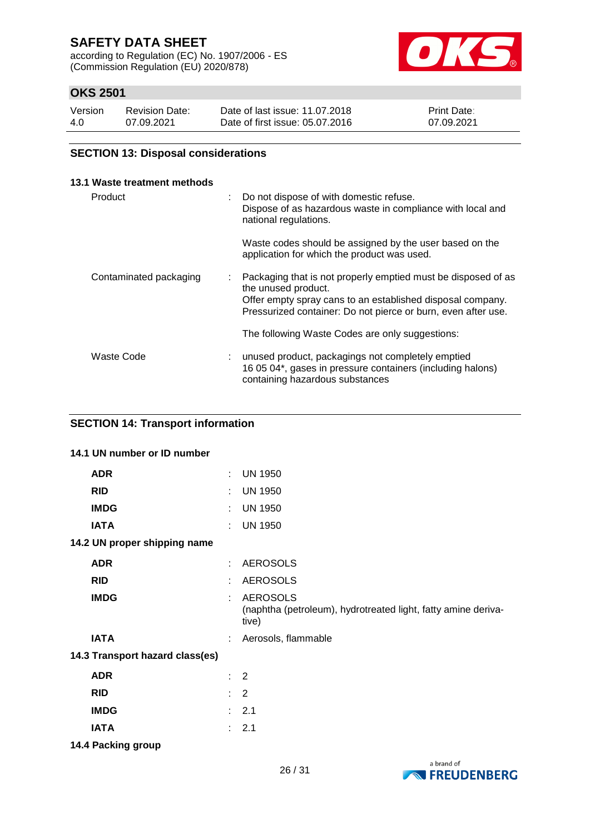according to Regulation (EC) No. 1907/2006 - ES (Commission Regulation (EU) 2020/878)



## **OKS 2501**

| Version | Revision Date: | Date of last issue: 11.07.2018  | <b>Print Date:</b> |
|---------|----------------|---------------------------------|--------------------|
| 4.0     | 07.09.2021     | Date of first issue: 05.07.2016 | 07.09.2021         |

### **SECTION 13: Disposal considerations**

| 13.1 Waste treatment methods |    |                                                                                                                                                                                                                     |
|------------------------------|----|---------------------------------------------------------------------------------------------------------------------------------------------------------------------------------------------------------------------|
| Product                      | ÷. | Do not dispose of with domestic refuse.<br>Dispose of as hazardous waste in compliance with local and<br>national regulations.                                                                                      |
|                              |    | Waste codes should be assigned by the user based on the<br>application for which the product was used.                                                                                                              |
| Contaminated packaging       |    | Packaging that is not properly emptied must be disposed of as<br>the unused product.<br>Offer empty spray cans to an established disposal company.<br>Pressurized container: Do not pierce or burn, even after use. |
|                              |    | The following Waste Codes are only suggestions:                                                                                                                                                                     |
| Waste Code                   |    | unused product, packagings not completely emptied<br>16 05 04*, gases in pressure containers (including halons)<br>containing hazardous substances                                                                  |

### **SECTION 14: Transport information**

|             | 14.1 UN number or ID number     |    |                                                                                           |
|-------------|---------------------------------|----|-------------------------------------------------------------------------------------------|
| <b>ADR</b>  |                                 | t. | <b>UN 1950</b>                                                                            |
| <b>RID</b>  |                                 | ÷. | <b>UN 1950</b>                                                                            |
| <b>IMDG</b> |                                 | t. | <b>UN 1950</b>                                                                            |
| <b>IATA</b> |                                 | t. | <b>UN 1950</b>                                                                            |
|             | 14.2 UN proper shipping name    |    |                                                                                           |
| <b>ADR</b>  |                                 | ÷  | <b>AEROSOLS</b>                                                                           |
| <b>RID</b>  |                                 | ÷. | <b>AEROSOLS</b>                                                                           |
| <b>IMDG</b> |                                 | t. | <b>AEROSOLS</b><br>(naphtha (petroleum), hydrotreated light, fatty amine deriva-<br>tive) |
| <b>IATA</b> |                                 | ÷. | Aerosols, flammable                                                                       |
|             | 14.3 Transport hazard class(es) |    |                                                                                           |
| <b>ADR</b>  |                                 |    | $\therefore$ 2                                                                            |
| <b>RID</b>  |                                 |    | $\therefore$ 2                                                                            |
| <b>IMDG</b> |                                 |    | : 2.1                                                                                     |
| <b>IATA</b> |                                 |    | : 2.1                                                                                     |

**14.4 Packing group**

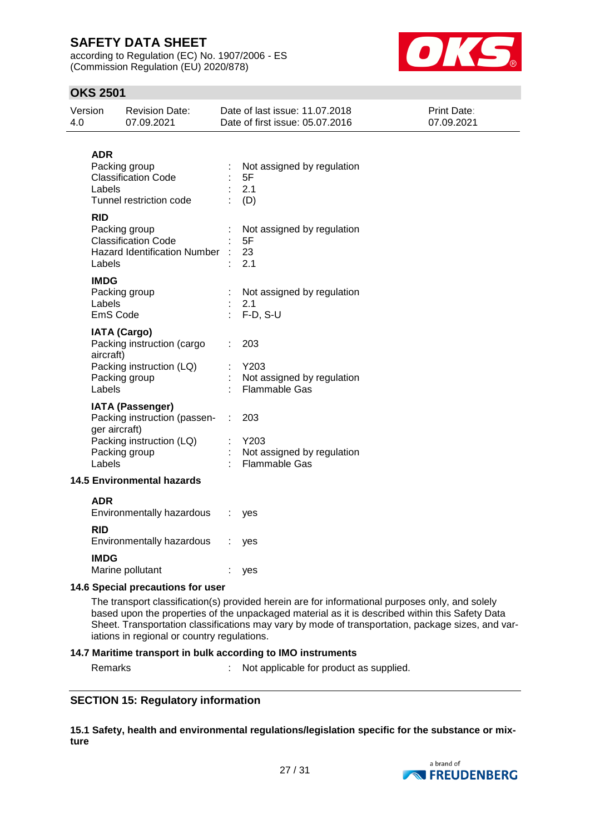according to Regulation (EC) No. 1907/2006 - ES (Commission Regulation (EU) 2020/878)



## **OKS 2501**

| Version<br>4.0 |                                   | <b>Revision Date:</b><br>07.09.2021                                                                  |                                                                                                                                                                                                    | Date of last issue: 11.07.2018<br>Date of first issue: 05.07.2016                         | Print Date:<br>07.09.2021 |  |
|----------------|-----------------------------------|------------------------------------------------------------------------------------------------------|----------------------------------------------------------------------------------------------------------------------------------------------------------------------------------------------------|-------------------------------------------------------------------------------------------|---------------------------|--|
|                | <b>ADR</b><br>Labels              | Packing group<br><b>Classification Code</b><br>Tunnel restriction code                               |                                                                                                                                                                                                    | Not assigned by regulation<br>5F<br>2.1<br>(D)                                            |                           |  |
|                | <b>RID</b><br>Labels              | Packing group<br><b>Classification Code</b><br><b>Hazard Identification Number</b>                   |                                                                                                                                                                                                    | Not assigned by regulation<br>5F<br>23<br>2.1                                             |                           |  |
|                | <b>IMDG</b><br>Labels<br>EmS Code | Packing group                                                                                        |                                                                                                                                                                                                    | Not assigned by regulation<br>2.1<br>$F-D, S-U$                                           |                           |  |
|                | aircraft)                         | <b>IATA (Cargo)</b><br>Packing instruction (cargo<br>Packing instruction (LQ)<br>Packing group       |                                                                                                                                                                                                    | 203<br>Y203<br>Not assigned by regulation                                                 |                           |  |
|                | Labels<br>ger aircraft)<br>Labels | <b>IATA (Passenger)</b><br>Packing instruction (passen-<br>Packing instruction (LQ)<br>Packing group |                                                                                                                                                                                                    | <b>Flammable Gas</b><br>203<br>Y203<br>Not assigned by regulation<br><b>Flammable Gas</b> |                           |  |
|                |                                   | <b>14.5 Environmental hazards</b>                                                                    |                                                                                                                                                                                                    |                                                                                           |                           |  |
|                | <b>ADR</b>                        | Environmentally hazardous                                                                            | ÷.                                                                                                                                                                                                 | yes                                                                                       |                           |  |
|                | <b>RID</b>                        | Environmentally hazardous : yes                                                                      |                                                                                                                                                                                                    |                                                                                           |                           |  |
|                | <b>IMDG</b><br>Marine pollutant   |                                                                                                      |                                                                                                                                                                                                    | yes                                                                                       |                           |  |
|                |                                   | 14.6 Special precautions for user                                                                    |                                                                                                                                                                                                    |                                                                                           |                           |  |
|                |                                   |                                                                                                      | The transport classification(s) provided herein are for informational purposes only, and solely<br>based upon the properties of the unpackaged material as it is described within this Safety Data |                                                                                           |                           |  |

Sheet. Transportation classifications may vary by mode of transportation, package sizes, and variations in regional or country regulations.

#### **14.7 Maritime transport in bulk according to IMO instruments**

Remarks : Not applicable for product as supplied.

#### **SECTION 15: Regulatory information**

**15.1 Safety, health and environmental regulations/legislation specific for the substance or mixture**

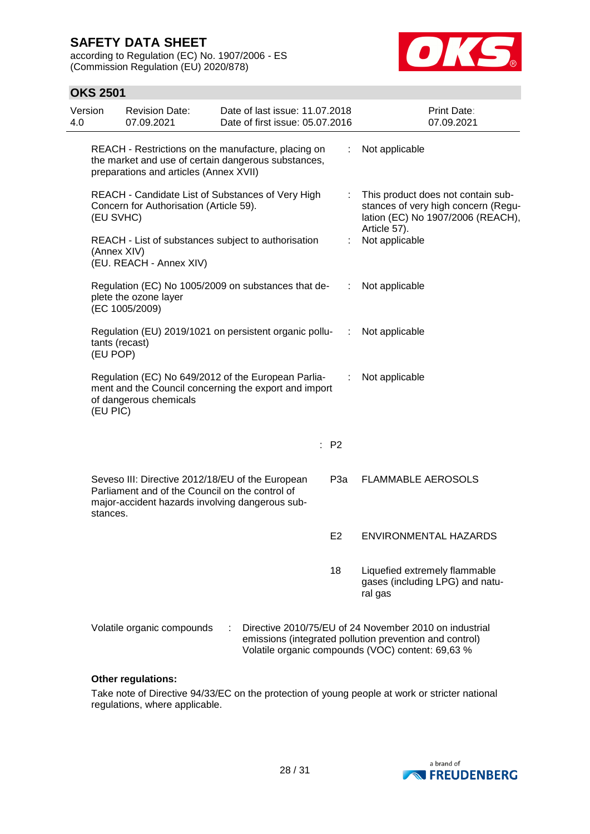according to Regulation (EC) No. 1907/2006 - ES (Commission Regulation (EU) 2020/878)



### **OKS 2501**

| Version<br>4.0 |                            | <b>Revision Date:</b><br>07.09.2021                                                                                                                    | Date of last issue: 11.07.2018<br>Date of first issue: 05.07.2016 |                                                                                                                                |                | <b>Print Date:</b><br>07.09.2021                                                                                                                                       |
|----------------|----------------------------|--------------------------------------------------------------------------------------------------------------------------------------------------------|-------------------------------------------------------------------|--------------------------------------------------------------------------------------------------------------------------------|----------------|------------------------------------------------------------------------------------------------------------------------------------------------------------------------|
|                |                            | REACH - Restrictions on the manufacture, placing on<br>the market and use of certain dangerous substances,<br>preparations and articles (Annex XVII)   |                                                                   |                                                                                                                                |                | Not applicable                                                                                                                                                         |
|                | (EU SVHC)                  | REACH - Candidate List of Substances of Very High<br>Concern for Authorisation (Article 59).                                                           |                                                                   | This product does not contain sub-<br>stances of very high concern (Regu-<br>lation (EC) No 1907/2006 (REACH),<br>Article 57). |                |                                                                                                                                                                        |
|                | (Annex XIV)                | REACH - List of substances subject to authorisation<br>(EU. REACH - Annex XIV)                                                                         |                                                                   |                                                                                                                                |                | Not applicable                                                                                                                                                         |
|                |                            | Regulation (EC) No 1005/2009 on substances that de-<br>plete the ozone layer<br>(EC 1005/2009)                                                         |                                                                   |                                                                                                                                | ÷              | Not applicable                                                                                                                                                         |
|                | tants (recast)<br>(EU POP) | Regulation (EU) 2019/1021 on persistent organic pollu-                                                                                                 |                                                                   |                                                                                                                                | ÷              | Not applicable                                                                                                                                                         |
|                | (EU PIC)                   | Regulation (EC) No 649/2012 of the European Parlia-<br>ment and the Council concerning the export and import<br>of dangerous chemicals                 |                                                                   |                                                                                                                                | ÷              | Not applicable                                                                                                                                                         |
|                |                            |                                                                                                                                                        |                                                                   |                                                                                                                                | : P2           |                                                                                                                                                                        |
|                | stances.                   | Seveso III: Directive 2012/18/EU of the European<br>Parliament and of the Council on the control of<br>major-accident hazards involving dangerous sub- |                                                                   |                                                                                                                                | P3a            | <b>FLAMMABLE AEROSOLS</b>                                                                                                                                              |
|                |                            |                                                                                                                                                        |                                                                   |                                                                                                                                | E <sub>2</sub> | <b>ENVIRONMENTAL HAZARDS</b>                                                                                                                                           |
|                |                            |                                                                                                                                                        |                                                                   |                                                                                                                                | 18             | Liquefied extremely flammable<br>gases (including LPG) and natu-<br>ral gas                                                                                            |
|                |                            | Volatile organic compounds                                                                                                                             |                                                                   |                                                                                                                                |                | Directive 2010/75/EU of 24 November 2010 on industrial<br>emissions (integrated pollution prevention and control)<br>Volatile organic compounds (VOC) content: 69,63 % |

#### **Other regulations:**

Take note of Directive 94/33/EC on the protection of young people at work or stricter national regulations, where applicable.

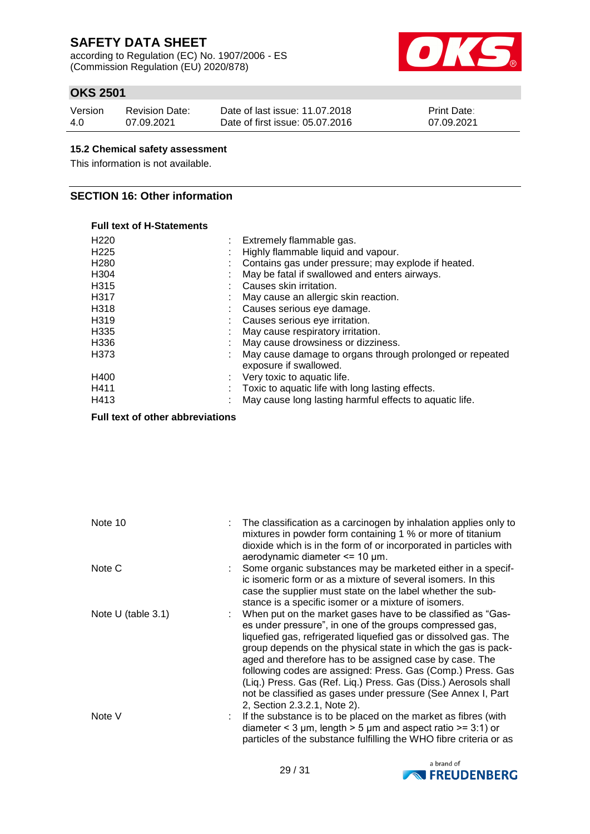according to Regulation (EC) No. 1907/2006 - ES (Commission Regulation (EU) 2020/878)



## **OKS 2501**

| Version | <b>Revision Date:</b> | Date of last issue: 11.07.2018  | <b>Print Date:</b> |
|---------|-----------------------|---------------------------------|--------------------|
| 4.0     | 07.09.2021            | Date of first issue: 05.07.2016 | 07.09.2021         |

### **15.2 Chemical safety assessment**

This information is not available.

### **SECTION 16: Other information**

#### **Full text of H-Statements**

| H <sub>220</sub> | Extremely flammable gas.                                                           |
|------------------|------------------------------------------------------------------------------------|
| H <sub>225</sub> | Highly flammable liquid and vapour.                                                |
| H <sub>280</sub> | Contains gas under pressure; may explode if heated.                                |
| H304             | May be fatal if swallowed and enters airways.                                      |
| H315             | Causes skin irritation.                                                            |
| H317             | May cause an allergic skin reaction.                                               |
| H318             | Causes serious eye damage.                                                         |
| H319             | Causes serious eye irritation.                                                     |
| H335             | May cause respiratory irritation.                                                  |
| H336             | May cause drowsiness or dizziness.                                                 |
| H373             | May cause damage to organs through prolonged or repeated<br>exposure if swallowed. |
| H400             | Very toxic to aquatic life.                                                        |
| H411             | Toxic to aquatic life with long lasting effects.                                   |
| H413             | May cause long lasting harmful effects to aquatic life.                            |
|                  |                                                                                    |

**Full text of other abbreviations**

| Note 10            | : The classification as a carcinogen by inhalation applies only to<br>mixtures in powder form containing 1 % or more of titanium<br>dioxide which is in the form of or incorporated in particles with<br>aerodynamic diameter $\leq$ 10 µm.                                                                                                                                                                                                                                                                                                              |
|--------------------|----------------------------------------------------------------------------------------------------------------------------------------------------------------------------------------------------------------------------------------------------------------------------------------------------------------------------------------------------------------------------------------------------------------------------------------------------------------------------------------------------------------------------------------------------------|
| Note C             | : Some organic substances may be marketed either in a specif-<br>ic isomeric form or as a mixture of several isomers. In this<br>case the supplier must state on the label whether the sub-<br>stance is a specific isomer or a mixture of isomers.                                                                                                                                                                                                                                                                                                      |
| Note U (table 3.1) | When put on the market gases have to be classified as "Gas-<br>es under pressure", in one of the groups compressed gas,<br>liquefied gas, refrigerated liquefied gas or dissolved gas. The<br>group depends on the physical state in which the gas is pack-<br>aged and therefore has to be assigned case by case. The<br>following codes are assigned: Press. Gas (Comp.) Press. Gas<br>(Liq.) Press. Gas (Ref. Liq.) Press. Gas (Diss.) Aerosols shall<br>not be classified as gases under pressure (See Annex I, Part<br>2, Section 2.3.2.1, Note 2). |
| Note V             | If the substance is to be placed on the market as fibres (with<br>diameter < 3 $\mu$ m, length > 5 $\mu$ m and aspect ratio >= 3:1) or<br>particles of the substance fulfilling the WHO fibre criteria or as                                                                                                                                                                                                                                                                                                                                             |

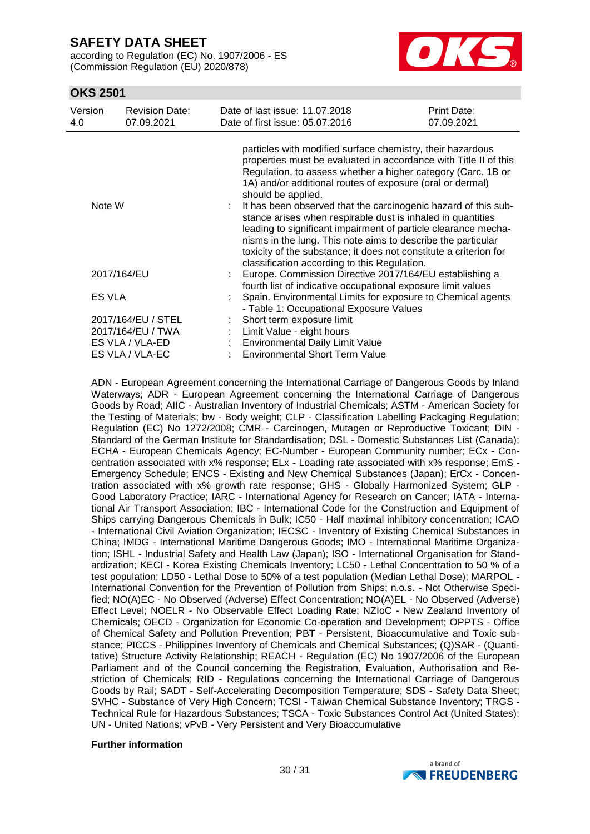according to Regulation (EC) No. 1907/2006 - ES (Commission Regulation (EU) 2020/878)



### **OKS 2501**

| Version<br>4.0        | <b>Revision Date:</b><br>07.09.2021 | Date of last issue: 11.07.2018<br>Date of first issue: 05.07.2016                                                                                                                                                                                                                                                                                                                                                                                                                                                                                                                                                         | Print Date:<br>07.09.2021 |
|-----------------------|-------------------------------------|---------------------------------------------------------------------------------------------------------------------------------------------------------------------------------------------------------------------------------------------------------------------------------------------------------------------------------------------------------------------------------------------------------------------------------------------------------------------------------------------------------------------------------------------------------------------------------------------------------------------------|---------------------------|
| Note W<br>2017/164/EU |                                     | particles with modified surface chemistry, their hazardous<br>properties must be evaluated in accordance with Title II of this<br>Regulation, to assess whether a higher category (Carc. 1B or<br>1A) and/or additional routes of exposure (oral or dermal)<br>should be applied.<br>It has been observed that the carcinogenic hazard of this sub-<br>stance arises when respirable dust is inhaled in quantities<br>leading to significant impairment of particle clearance mecha-<br>nisms in the lung. This note aims to describe the particular<br>toxicity of the substance; it does not constitute a criterion for |                           |
|                       |                                     | classification according to this Regulation.<br>Europe. Commission Directive 2017/164/EU establishing a                                                                                                                                                                                                                                                                                                                                                                                                                                                                                                                   |                           |
| <b>ES VLA</b>         |                                     | fourth list of indicative occupational exposure limit values<br>Spain. Environmental Limits for exposure to Chemical agents<br>- Table 1: Occupational Exposure Values                                                                                                                                                                                                                                                                                                                                                                                                                                                    |                           |
|                       | 2017/164/EU / STEL                  | Short term exposure limit                                                                                                                                                                                                                                                                                                                                                                                                                                                                                                                                                                                                 |                           |
|                       | 2017/164/EU / TWA                   | Limit Value - eight hours                                                                                                                                                                                                                                                                                                                                                                                                                                                                                                                                                                                                 |                           |
|                       | ES VLA / VLA-ED                     | Environmental Daily Limit Value                                                                                                                                                                                                                                                                                                                                                                                                                                                                                                                                                                                           |                           |
|                       | ES VLA / VLA-EC                     | <b>Environmental Short Term Value</b>                                                                                                                                                                                                                                                                                                                                                                                                                                                                                                                                                                                     |                           |

ADN - European Agreement concerning the International Carriage of Dangerous Goods by Inland Waterways; ADR - European Agreement concerning the International Carriage of Dangerous Goods by Road; AIIC - Australian Inventory of Industrial Chemicals; ASTM - American Society for the Testing of Materials; bw - Body weight; CLP - Classification Labelling Packaging Regulation; Regulation (EC) No 1272/2008; CMR - Carcinogen, Mutagen or Reproductive Toxicant; DIN - Standard of the German Institute for Standardisation; DSL - Domestic Substances List (Canada); ECHA - European Chemicals Agency; EC-Number - European Community number; ECx - Concentration associated with x% response; ELx - Loading rate associated with x% response; EmS - Emergency Schedule; ENCS - Existing and New Chemical Substances (Japan); ErCx - Concentration associated with x% growth rate response; GHS - Globally Harmonized System; GLP - Good Laboratory Practice; IARC - International Agency for Research on Cancer; IATA - International Air Transport Association; IBC - International Code for the Construction and Equipment of Ships carrying Dangerous Chemicals in Bulk; IC50 - Half maximal inhibitory concentration; ICAO - International Civil Aviation Organization; IECSC - Inventory of Existing Chemical Substances in China; IMDG - International Maritime Dangerous Goods; IMO - International Maritime Organization; ISHL - Industrial Safety and Health Law (Japan); ISO - International Organisation for Standardization; KECI - Korea Existing Chemicals Inventory; LC50 - Lethal Concentration to 50 % of a test population; LD50 - Lethal Dose to 50% of a test population (Median Lethal Dose); MARPOL - International Convention for the Prevention of Pollution from Ships; n.o.s. - Not Otherwise Specified; NO(A)EC - No Observed (Adverse) Effect Concentration; NO(A)EL - No Observed (Adverse) Effect Level; NOELR - No Observable Effect Loading Rate; NZIoC - New Zealand Inventory of Chemicals; OECD - Organization for Economic Co-operation and Development; OPPTS - Office of Chemical Safety and Pollution Prevention; PBT - Persistent, Bioaccumulative and Toxic substance; PICCS - Philippines Inventory of Chemicals and Chemical Substances; (Q)SAR - (Quantitative) Structure Activity Relationship; REACH - Regulation (EC) No 1907/2006 of the European Parliament and of the Council concerning the Registration, Evaluation, Authorisation and Restriction of Chemicals; RID - Regulations concerning the International Carriage of Dangerous Goods by Rail; SADT - Self-Accelerating Decomposition Temperature; SDS - Safety Data Sheet; SVHC - Substance of Very High Concern; TCSI - Taiwan Chemical Substance Inventory; TRGS - Technical Rule for Hazardous Substances; TSCA - Toxic Substances Control Act (United States); UN - United Nations; vPvB - Very Persistent and Very Bioaccumulative

#### **Further information**